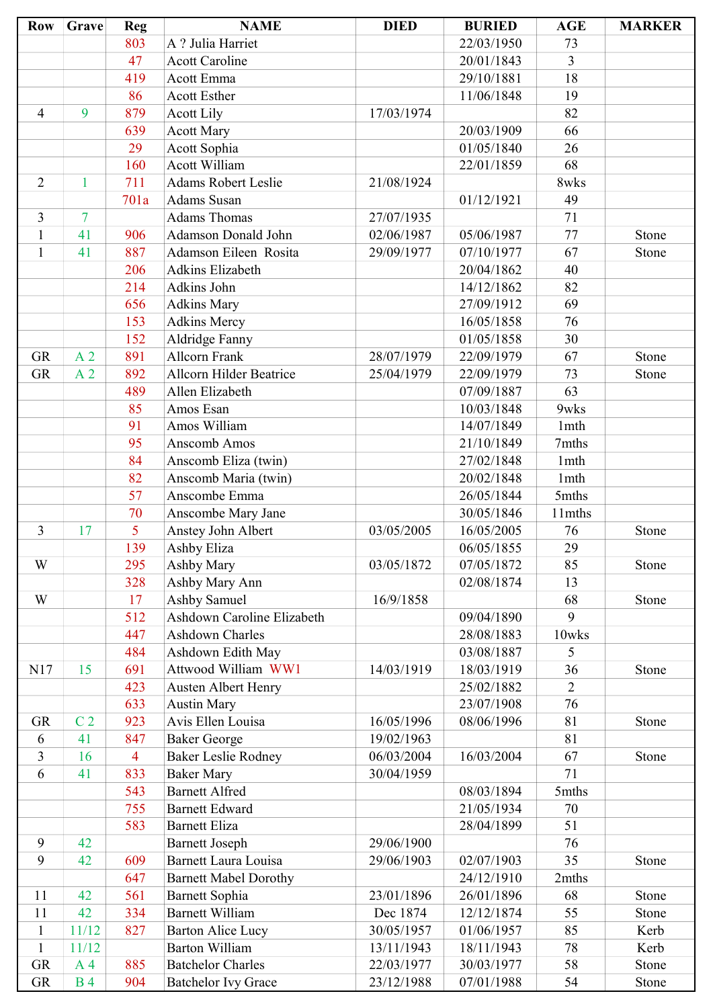| <b>Row</b>     | Grave          | <b>Reg</b>     | <b>NAME</b>                    | <b>DIED</b> | <b>BURIED</b> | <b>AGE</b>       | <b>MARKER</b> |
|----------------|----------------|----------------|--------------------------------|-------------|---------------|------------------|---------------|
|                |                | 803            | A ? Julia Harriet              |             | 22/03/1950    | 73               |               |
|                |                | 47             | <b>Acott Caroline</b>          |             | 20/01/1843    | $\overline{3}$   |               |
|                |                | 419            | Acott Emma                     |             | 29/10/1881    | 18               |               |
|                |                | 86             | <b>Acott Esther</b>            |             | 11/06/1848    | 19               |               |
| $\overline{4}$ | 9              | 879            | <b>Acott Lily</b>              | 17/03/1974  |               | 82               |               |
|                |                | 639            | <b>Acott Mary</b>              |             | 20/03/1909    | 66               |               |
|                |                | 29             | Acott Sophia                   |             | 01/05/1840    | 26               |               |
|                |                | 160            | <b>Acott William</b>           |             | 22/01/1859    | 68               |               |
| $\overline{2}$ | $\mathbf{1}$   | 711            | <b>Adams Robert Leslie</b>     | 21/08/1924  |               | 8wks             |               |
|                |                | 701a           | Adams Susan                    |             | 01/12/1921    | 49               |               |
| 3              | $\overline{7}$ |                | <b>Adams Thomas</b>            | 27/07/1935  |               | 71               |               |
| $\mathbf{1}$   | 41             | 906            | Adamson Donald John            | 02/06/1987  | 05/06/1987    | 77               | Stone         |
| $\mathbf{1}$   | 41             | 887            | Adamson Eileen Rosita          | 29/09/1977  | 07/10/1977    | 67               | Stone         |
|                |                | 206            | <b>Adkins Elizabeth</b>        |             | 20/04/1862    | 40               |               |
|                |                | 214            | Adkins John                    |             | 14/12/1862    | 82               |               |
|                |                | 656            | <b>Adkins Mary</b>             |             | 27/09/1912    | 69               |               |
|                |                | 153            | <b>Adkins Mercy</b>            |             | 16/05/1858    | 76               |               |
|                |                | 152            | Aldridge Fanny                 |             | 01/05/1858    | 30               |               |
| <b>GR</b>      | A <sub>2</sub> | 891            | <b>Allcorn Frank</b>           | 28/07/1979  | 22/09/1979    | 67               | Stone         |
| <b>GR</b>      | A <sub>2</sub> | 892            | <b>Allcorn Hilder Beatrice</b> | 25/04/1979  | 22/09/1979    | 73               | Stone         |
|                |                | 489            | Allen Elizabeth                |             | 07/09/1887    | 63               |               |
|                |                | 85             | Amos Esan                      |             | 10/03/1848    | 9wks             |               |
|                |                | 91             | Amos William                   |             | 14/07/1849    | 1mth             |               |
|                |                | 95             | Anscomb Amos                   |             | 21/10/1849    | 7mths            |               |
|                |                | 84             | Anscomb Eliza (twin)           |             | 27/02/1848    | 1mth             |               |
|                |                | 82             | Anscomb Maria (twin)           |             | 20/02/1848    | 1 <sub>mth</sub> |               |
|                |                | 57             | Anscombe Emma                  |             | 26/05/1844    | 5mths            |               |
|                |                | 70             | Anscombe Mary Jane             |             | 30/05/1846    | 11mths           |               |
| 3              | 17             | 5              | Anstey John Albert             | 03/05/2005  | 16/05/2005    | 76               | Stone         |
|                |                | 139            | Ashby Eliza                    |             | 06/05/1855    | 29               |               |
| W              |                | 295            | Ashby Mary                     | 03/05/1872  | 07/05/1872    | 85               | Stone         |
|                |                | 328            | Ashby Mary Ann                 |             | 02/08/1874    | 13               |               |
| W              |                | 17             | Ashby Samuel                   | 16/9/1858   |               | 68               | Stone         |
|                |                | 512            | Ashdown Caroline Elizabeth     |             | 09/04/1890    | 9                |               |
|                |                | 447            | <b>Ashdown Charles</b>         |             | 28/08/1883    | 10wks            |               |
|                |                | 484            | Ashdown Edith May              |             | 03/08/1887    | 5                |               |
| N17            | 15             | 691            | Attwood William WW1            | 14/03/1919  | 18/03/1919    | 36               | Stone         |
|                |                | 423            | <b>Austen Albert Henry</b>     |             | 25/02/1882    | $\overline{2}$   |               |
|                |                | 633            | <b>Austin Mary</b>             |             | 23/07/1908    | 76               |               |
| <b>GR</b>      | C <sub>2</sub> | 923            | Avis Ellen Louisa              | 16/05/1996  | 08/06/1996    | 81               | Stone         |
| 6              | 41             | 847            | <b>Baker George</b>            | 19/02/1963  |               | 81               |               |
| 3              | 16             | $\overline{4}$ | <b>Baker Leslie Rodney</b>     | 06/03/2004  | 16/03/2004    | 67               | Stone         |
| 6              | 41             | 833            | <b>Baker Mary</b>              | 30/04/1959  |               | 71               |               |
|                |                | 543            | <b>Barnett Alfred</b>          |             | 08/03/1894    | 5mths            |               |
|                |                | 755            | <b>Barnett Edward</b>          |             | 21/05/1934    | 70               |               |
|                |                | 583            | <b>Barnett Eliza</b>           |             | 28/04/1899    | 51               |               |
| 9              | 42             |                | <b>Barnett Joseph</b>          | 29/06/1900  |               | 76               |               |
| 9              | 42             | 609            | <b>Barnett Laura Louisa</b>    | 29/06/1903  | 02/07/1903    | 35               | Stone         |
|                |                | 647            | <b>Barnett Mabel Dorothy</b>   |             | 24/12/1910    | 2mths            |               |
| 11             | 42             | 561            | <b>Barnett Sophia</b>          | 23/01/1896  | 26/01/1896    | 68               | Stone         |
| 11             | 42             | 334            | <b>Barnett William</b>         | Dec 1874    | 12/12/1874    | 55               | Stone         |
| $\mathbf{1}$   | 11/12          | 827            | <b>Barton Alice Lucy</b>       | 30/05/1957  | 01/06/1957    | 85               | Kerb          |
| $\mathbf{1}$   | 11/12          |                | <b>Barton William</b>          | 13/11/1943  | 18/11/1943    | 78               | Kerb          |
| <b>GR</b>      | A <sub>4</sub> | 885            | <b>Batchelor Charles</b>       | 22/03/1977  | 30/03/1977    | 58               | Stone         |
| GR             | <b>B4</b>      | 904            | <b>Batchelor Ivy Grace</b>     | 23/12/1988  | 07/01/1988    | 54               | Stone         |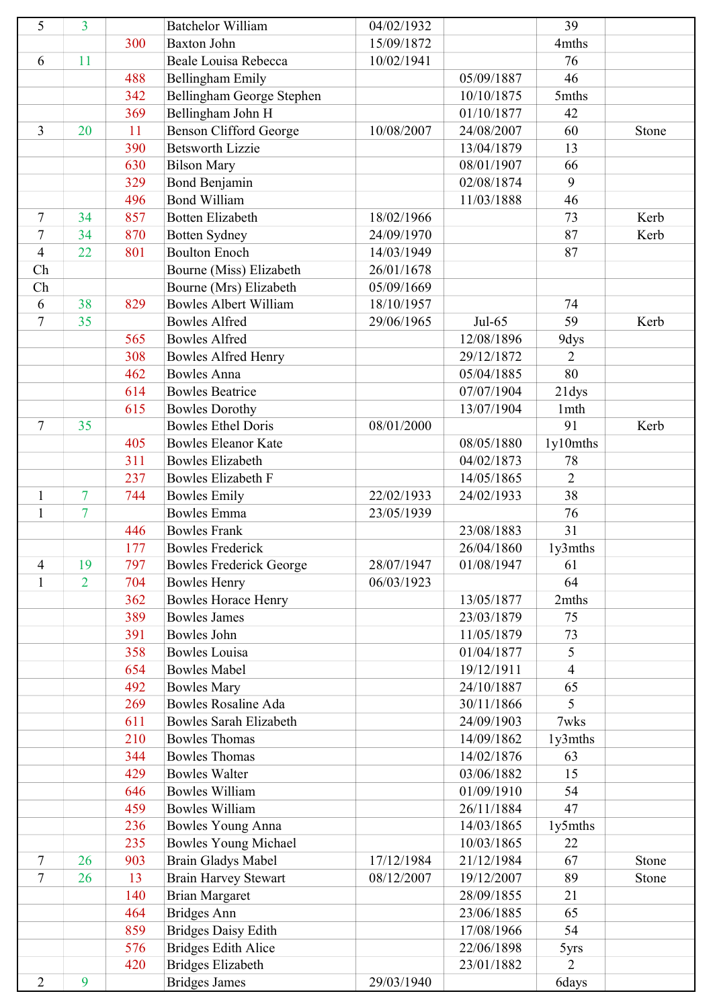| 5              | 3              |     | <b>Batchelor William</b>                              | 04/02/1932 |            | 39             |       |
|----------------|----------------|-----|-------------------------------------------------------|------------|------------|----------------|-------|
|                |                | 300 | <b>Baxton John</b>                                    | 15/09/1872 |            | 4mths          |       |
| 6              | 11             |     | Beale Louisa Rebecca                                  | 10/02/1941 |            | 76             |       |
|                |                | 488 | <b>Bellingham Emily</b>                               |            | 05/09/1887 | 46             |       |
|                |                | 342 | Bellingham George Stephen                             |            | 10/10/1875 | 5mths          |       |
|                |                | 369 | Bellingham John H                                     |            | 01/10/1877 | 42             |       |
| $\overline{3}$ | 20             | 11  | <b>Benson Clifford George</b>                         | 10/08/2007 | 24/08/2007 | 60             | Stone |
|                |                | 390 | <b>Betsworth Lizzie</b>                               |            | 13/04/1879 | 13             |       |
|                |                | 630 | <b>Bilson Mary</b>                                    |            | 08/01/1907 | 66             |       |
|                |                | 329 | <b>Bond Benjamin</b>                                  |            | 02/08/1874 | 9              |       |
|                |                | 496 | <b>Bond William</b>                                   |            | 11/03/1888 | 46             |       |
| $\tau$         | 34             | 857 | <b>Botten Elizabeth</b>                               | 18/02/1966 |            | 73             | Kerb  |
| $\tau$         | 34             | 870 | <b>Botten Sydney</b>                                  | 24/09/1970 |            | 87             | Kerb  |
| $\overline{4}$ | 22             | 801 | <b>Boulton Enoch</b>                                  | 14/03/1949 |            | 87             |       |
| Ch             |                |     | Bourne (Miss) Elizabeth                               | 26/01/1678 |            |                |       |
| Ch             |                |     | Bourne (Mrs) Elizabeth                                | 05/09/1669 |            |                |       |
| 6              | 38             | 829 | <b>Bowles Albert William</b>                          | 18/10/1957 |            | 74             |       |
| $\tau$         | 35             |     | <b>Bowles Alfred</b>                                  | 29/06/1965 | $Jul-65$   | 59             | Kerb  |
|                |                | 565 | <b>Bowles Alfred</b>                                  |            | 12/08/1896 | 9dys           |       |
|                |                | 308 | <b>Bowles Alfred Henry</b>                            |            | 29/12/1872 | $\overline{2}$ |       |
|                |                | 462 | <b>Bowles Anna</b>                                    |            | 05/04/1885 | 80             |       |
|                |                | 614 | <b>Bowles Beatrice</b>                                |            | 07/07/1904 | 21dys          |       |
|                |                | 615 | <b>Bowles Dorothy</b>                                 |            | 13/07/1904 | 1mth           |       |
| $\tau$         | 35             |     | <b>Bowles Ethel Doris</b>                             | 08/01/2000 |            | 91             | Kerb  |
|                |                | 405 | <b>Bowles Eleanor Kate</b>                            |            | 08/05/1880 | 1y10mths       |       |
|                |                | 311 | <b>Bowles Elizabeth</b>                               |            | 04/02/1873 | 78             |       |
|                |                | 237 | <b>Bowles Elizabeth F</b>                             |            | 14/05/1865 | $\overline{2}$ |       |
| $\mathbf{1}$   | $\overline{7}$ | 744 | <b>Bowles Emily</b>                                   | 22/02/1933 | 24/02/1933 | 38             |       |
| $\mathbf{1}$   | $\overline{7}$ |     | <b>Bowles Emma</b>                                    | 23/05/1939 |            | 76             |       |
|                |                | 446 | <b>Bowles Frank</b>                                   |            | 23/08/1883 | 31             |       |
|                |                | 177 | <b>Bowles Frederick</b>                               |            | 26/04/1860 | 1y3mths        |       |
| 4              | 19             | 797 |                                                       | 28/07/1947 | 01/08/1947 | 61             |       |
| $\mathbf{1}$   | $\overline{2}$ | 704 | <b>Bowles Frederick George</b><br><b>Bowles Henry</b> | 06/03/1923 |            | 64             |       |
|                |                | 362 | <b>Bowles Horace Henry</b>                            |            | 13/05/1877 | 2mths          |       |
|                |                | 389 | <b>Bowles James</b>                                   |            | 23/03/1879 | 75             |       |
|                |                |     |                                                       |            | 11/05/1879 |                |       |
|                |                | 391 | <b>Bowles John</b>                                    |            |            | 73<br>5        |       |
|                |                | 358 | <b>Bowles Louisa</b>                                  |            | 01/04/1877 |                |       |
|                |                | 654 | <b>Bowles Mabel</b>                                   |            | 19/12/1911 | 4              |       |
|                |                | 492 | <b>Bowles Mary</b>                                    |            | 24/10/1887 | 65<br>5        |       |
|                |                | 269 | <b>Bowles Rosaline Ada</b>                            |            | 30/11/1866 |                |       |
|                |                | 611 | <b>Bowles Sarah Elizabeth</b>                         |            | 24/09/1903 | 7wks           |       |
|                |                | 210 | <b>Bowles Thomas</b>                                  |            | 14/09/1862 | 1y3mths        |       |
|                |                | 344 | <b>Bowles Thomas</b>                                  |            | 14/02/1876 | 63             |       |
|                |                | 429 | <b>Bowles Walter</b>                                  |            | 03/06/1882 | 15             |       |
|                |                | 646 | <b>Bowles William</b>                                 |            | 01/09/1910 | 54             |       |
|                |                | 459 | <b>Bowles William</b>                                 |            | 26/11/1884 | 47             |       |
|                |                | 236 | <b>Bowles Young Anna</b>                              |            | 14/03/1865 | 1y5mths        |       |
|                |                | 235 | <b>Bowles Young Michael</b>                           |            | 10/03/1865 | 22             |       |
| 7              | 26             | 903 | <b>Brain Gladys Mabel</b>                             | 17/12/1984 | 21/12/1984 | 67             | Stone |
| 7              | 26             | 13  | <b>Brain Harvey Stewart</b>                           | 08/12/2007 | 19/12/2007 | 89             | Stone |
|                |                | 140 | <b>Brian Margaret</b>                                 |            | 28/09/1855 | 21             |       |
|                |                | 464 | <b>Bridges Ann</b>                                    |            | 23/06/1885 | 65             |       |
|                |                | 859 | <b>Bridges Daisy Edith</b>                            |            | 17/08/1966 | 54             |       |
|                |                | 576 | <b>Bridges Edith Alice</b>                            |            | 22/06/1898 | 5yrs           |       |
|                |                | 420 | <b>Bridges Elizabeth</b>                              |            | 23/01/1882 | $\overline{2}$ |       |
| $\overline{2}$ | 9              |     | <b>Bridges James</b>                                  | 29/03/1940 |            | 6days          |       |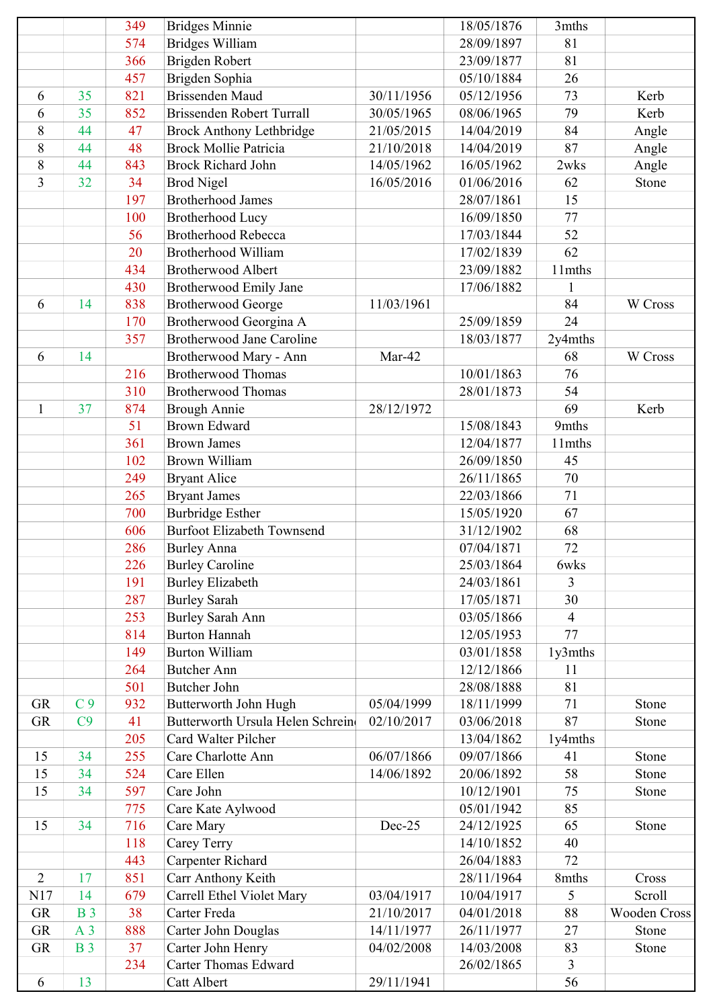|                |                | 349 | <b>Bridges Minnie</b>             |            | 18/05/1876 | 3mths          |              |
|----------------|----------------|-----|-----------------------------------|------------|------------|----------------|--------------|
|                |                | 574 | <b>Bridges William</b>            |            | 28/09/1897 | 81             |              |
|                |                | 366 | Brigden Robert                    |            | 23/09/1877 | 81             |              |
|                |                | 457 | Brigden Sophia                    |            | 05/10/1884 | 26             |              |
| 6              | 35             | 821 | <b>Brissenden Maud</b>            | 30/11/1956 | 05/12/1956 | 73             | Kerb         |
| 6              | 35             | 852 | Brissenden Robert Turrall         | 30/05/1965 | 08/06/1965 | 79             | Kerb         |
| 8              | 44             | 47  | <b>Brock Anthony Lethbridge</b>   | 21/05/2015 | 14/04/2019 | 84             | Angle        |
| 8              | 44             | 48  | <b>Brock Mollie Patricia</b>      | 21/10/2018 | 14/04/2019 | 87             | Angle        |
| 8              | 44             | 843 | <b>Brock Richard John</b>         | 14/05/1962 | 16/05/1962 | 2wks           | Angle        |
| 3              | 32             | 34  | <b>Brod Nigel</b>                 | 16/05/2016 | 01/06/2016 | 62             | Stone        |
|                |                | 197 | <b>Brotherhood James</b>          |            | 28/07/1861 | 15             |              |
|                |                | 100 | <b>Brotherhood Lucy</b>           |            | 16/09/1850 | 77             |              |
|                |                | 56  | <b>Brotherhood Rebecca</b>        |            | 17/03/1844 | 52             |              |
|                |                | 20  | <b>Brotherhood William</b>        |            | 17/02/1839 | 62             |              |
|                |                | 434 | <b>Brotherwood Albert</b>         |            | 23/09/1882 | 11mths         |              |
|                |                | 430 | Brotherwood Emily Jane            |            | 17/06/1882 | 1              |              |
| 6              | 14             | 838 | <b>Brotherwood George</b>         | 11/03/1961 |            | 84             | W Cross      |
|                |                | 170 | Brotherwood Georgina A            |            | 25/09/1859 | 24             |              |
|                |                | 357 | <b>Brotherwood Jane Caroline</b>  |            | 18/03/1877 | 2y4mths        |              |
| 6              | 14             |     | Brotherwood Mary - Ann            | Mar-42     |            | 68             | W Cross      |
|                |                | 216 | <b>Brotherwood Thomas</b>         |            | 10/01/1863 | 76             |              |
|                |                | 310 | <b>Brotherwood Thomas</b>         |            | 28/01/1873 | 54             |              |
| 1              | 37             | 874 | <b>Brough Annie</b>               | 28/12/1972 |            | 69             | Kerb         |
|                |                | 51  | <b>Brown Edward</b>               |            | 15/08/1843 | 9mths          |              |
|                |                | 361 | <b>Brown James</b>                |            | 12/04/1877 | 11mths         |              |
|                |                | 102 | <b>Brown William</b>              |            | 26/09/1850 | 45             |              |
|                |                | 249 | <b>Bryant Alice</b>               |            | 26/11/1865 | 70             |              |
|                |                | 265 | <b>Bryant James</b>               |            | 22/03/1866 | 71             |              |
|                |                | 700 | <b>Burbridge Esther</b>           |            | 15/05/1920 | 67             |              |
|                |                | 606 | <b>Burfoot Elizabeth Townsend</b> |            | 31/12/1902 | 68             |              |
|                |                | 286 | <b>Burley Anna</b>                |            | 07/04/1871 | 72             |              |
|                |                | 226 | <b>Burley Caroline</b>            |            | 25/03/1864 | 6wks           |              |
|                |                | 191 | <b>Burley Elizabeth</b>           |            | 24/03/1861 | 3              |              |
|                |                | 287 | <b>Burley Sarah</b>               |            | 17/05/1871 | 30             |              |
|                |                | 253 | <b>Burley Sarah Ann</b>           |            | 03/05/1866 | $\overline{4}$ |              |
|                |                | 814 | <b>Burton Hannah</b>              |            | 12/05/1953 | 77             |              |
|                |                | 149 | <b>Burton William</b>             |            | 03/01/1858 | 1y3mths        |              |
|                |                | 264 | <b>Butcher Ann</b>                |            | 12/12/1866 | 11             |              |
|                |                | 501 | <b>Butcher John</b>               |            | 28/08/1888 | 81             |              |
| <b>GR</b>      | C <sub>9</sub> | 932 | Butterworth John Hugh             | 05/04/1999 | 18/11/1999 | 71             | Stone        |
| GR             | C9             | 41  | Butterworth Ursula Helen Schrein  | 02/10/2017 | 03/06/2018 | 87             | Stone        |
|                |                | 205 | Card Walter Pilcher               |            | 13/04/1862 | 1y4mths        |              |
| 15             | 34             | 255 | Care Charlotte Ann                | 06/07/1866 | 09/07/1866 | 41             | Stone        |
| 15             | 34             | 524 | Care Ellen                        | 14/06/1892 | 20/06/1892 | 58             | Stone        |
| 15             | 34             | 597 | Care John                         |            | 10/12/1901 | 75             | Stone        |
|                |                | 775 | Care Kate Aylwood                 |            | 05/01/1942 | 85             |              |
| 15             | 34             | 716 | Care Mary                         | Dec-25     | 24/12/1925 | 65             | Stone        |
|                |                | 118 | Carey Terry                       |            | 14/10/1852 | 40             |              |
|                |                | 443 | <b>Carpenter Richard</b>          |            | 26/04/1883 | 72             |              |
| $\overline{2}$ | 17             | 851 | Carr Anthony Keith                |            | 28/11/1964 | 8mths          | Cross        |
| N17            | 14             | 679 | Carrell Ethel Violet Mary         | 03/04/1917 | 10/04/1917 | 5              | Scroll       |
| <b>GR</b>      | <b>B</b> 3     | 38  | Carter Freda                      | 21/10/2017 | 04/01/2018 | 88             | Wooden Cross |
| <b>GR</b>      | A <sub>3</sub> | 888 | Carter John Douglas               | 14/11/1977 | 26/11/1977 | 27             | Stone        |
| GR             | <b>B</b> 3     | 37  | Carter John Henry                 | 04/02/2008 | 14/03/2008 | 83             | Stone        |
|                |                | 234 | <b>Carter Thomas Edward</b>       |            | 26/02/1865 | 3              |              |
| 6              | 13             |     | Catt Albert                       | 29/11/1941 |            | 56             |              |
|                |                |     |                                   |            |            |                |              |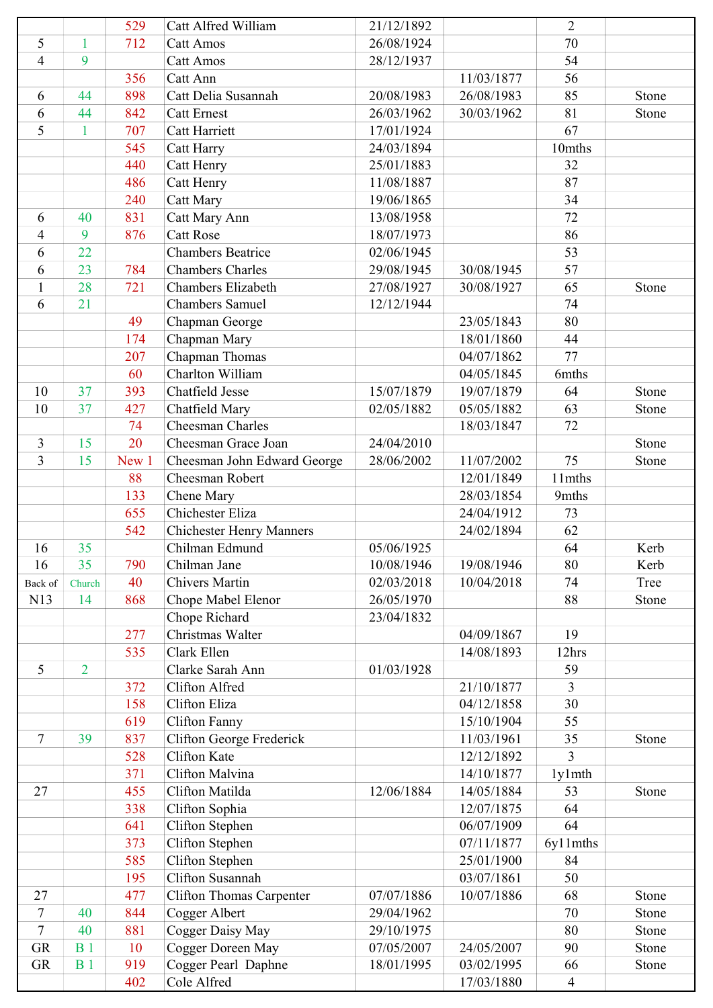|                |                | 529   | Catt Alfred William             | 21/12/1892 |            | $\overline{2}$ |       |
|----------------|----------------|-------|---------------------------------|------------|------------|----------------|-------|
| 5              | $\mathbf{1}$   | 712   | <b>Catt Amos</b>                | 26/08/1924 |            | 70             |       |
| $\overline{4}$ | 9              |       | <b>Catt Amos</b>                | 28/12/1937 |            | 54             |       |
|                |                | 356   | Catt Ann                        |            | 11/03/1877 | 56             |       |
| 6              | 44             | 898   | Catt Delia Susannah             | 20/08/1983 | 26/08/1983 | 85             | Stone |
| 6              | 44             | 842   | <b>Catt Ernest</b>              | 26/03/1962 | 30/03/1962 | 81             | Stone |
| 5              | $\mathbf{1}$   | 707   | <b>Catt Harriett</b>            | 17/01/1924 |            | 67             |       |
|                |                | 545   | Catt Harry                      | 24/03/1894 |            | 10mths         |       |
|                |                | 440   | Catt Henry                      | 25/01/1883 |            | 32             |       |
|                |                | 486   | Catt Henry                      | 11/08/1887 |            | 87             |       |
|                |                | 240   | <b>Catt Mary</b>                | 19/06/1865 |            | 34             |       |
| 6              | 40             | 831   | Catt Mary Ann                   | 13/08/1958 |            | 72             |       |
| 4              | 9              | 876   | <b>Catt Rose</b>                | 18/07/1973 |            | 86             |       |
| 6              | 22             |       | <b>Chambers Beatrice</b>        | 02/06/1945 |            | 53             |       |
| 6              | 23             | 784   | <b>Chambers Charles</b>         | 29/08/1945 | 30/08/1945 | 57             |       |
| $\mathbf{1}$   | 28             | 721   | <b>Chambers Elizabeth</b>       | 27/08/1927 | 30/08/1927 | 65             | Stone |
| 6              | 21             |       | <b>Chambers Samuel</b>          | 12/12/1944 |            | 74             |       |
|                |                | 49    | Chapman George                  |            | 23/05/1843 | 80             |       |
|                |                | 174   | Chapman Mary                    |            | 18/01/1860 | 44             |       |
|                |                | 207   | Chapman Thomas                  |            | 04/07/1862 | 77             |       |
|                |                | 60    | Charlton William                |            | 04/05/1845 | 6mths          |       |
| 10             | 37             | 393   | Chatfield Jesse                 | 15/07/1879 | 19/07/1879 | 64             | Stone |
| 10             | 37             | 427   | Chatfield Mary                  | 02/05/1882 | 05/05/1882 | 63             | Stone |
|                |                | 74    | <b>Cheesman Charles</b>         |            | 18/03/1847 | 72             |       |
| 3              | 15             | 20    | Cheesman Grace Joan             | 24/04/2010 |            |                | Stone |
| 3              | 15             | New 1 | Cheesman John Edward George     | 28/06/2002 | 11/07/2002 | 75             | Stone |
|                |                | 88    | Cheesman Robert                 |            | 12/01/1849 | 11mths         |       |
|                |                | 133   | Chene Mary                      |            | 28/03/1854 | 9mths          |       |
|                |                | 655   | Chichester Eliza                |            | 24/04/1912 | 73             |       |
|                |                | 542   | <b>Chichester Henry Manners</b> |            | 24/02/1894 | 62             |       |
| 16             | 35             |       | Chilman Edmund                  | 05/06/1925 |            | 64             | Kerb  |
| 16             | 35             | 790   | Chilman Jane                    | 10/08/1946 | 19/08/1946 | 80             | Kerb  |
| Back of        | Church         | 40    | <b>Chivers Martin</b>           | 02/03/2018 | 10/04/2018 | 74             | Tree  |
| N13            | 14             | 868   | Chope Mabel Elenor              | 26/05/1970 |            | 88             | Stone |
|                |                |       | Chope Richard                   | 23/04/1832 |            |                |       |
|                |                | 277   | Christmas Walter                |            | 04/09/1867 | 19             |       |
|                |                | 535   | Clark Ellen                     |            | 14/08/1893 | 12hrs          |       |
| 5              | $\overline{2}$ |       | Clarke Sarah Ann                | 01/03/1928 |            | 59             |       |
|                |                | 372   | Clifton Alfred                  |            | 21/10/1877 | 3              |       |
|                |                | 158   | Clifton Eliza                   |            | 04/12/1858 | 30             |       |
|                |                | 619   | <b>Clifton Fanny</b>            |            | 15/10/1904 | 55             |       |
| 7              | 39             | 837   | Clifton George Frederick        |            | 11/03/1961 | 35             | Stone |
|                |                | 528   | <b>Clifton Kate</b>             |            | 12/12/1892 | 3              |       |
|                |                | 371   | Clifton Malvina                 |            | 14/10/1877 | 1y1mth         |       |
| 27             |                | 455   | Clifton Matilda                 | 12/06/1884 | 14/05/1884 | 53             | Stone |
|                |                | 338   | Clifton Sophia                  |            | 12/07/1875 | 64             |       |
|                |                | 641   | Clifton Stephen                 |            | 06/07/1909 | 64             |       |
|                |                | 373   | Clifton Stephen                 |            | 07/11/1877 | 6y11mths       |       |
|                |                | 585   | Clifton Stephen                 |            | 25/01/1900 | 84             |       |
|                |                | 195   | <b>Clifton Susannah</b>         |            | 03/07/1861 | 50             |       |
| 27             |                | 477   | <b>Clifton Thomas Carpenter</b> | 07/07/1886 | 10/07/1886 | 68             | Stone |
| $\tau$         | 40             | 844   | Cogger Albert                   | 29/04/1962 |            | 70             | Stone |
| $\tau$         | 40             | 881   | Cogger Daisy May                | 29/10/1975 |            | 80             | Stone |
| GR             | B <sub>1</sub> | 10    | Cogger Doreen May               | 07/05/2007 | 24/05/2007 | 90             | Stone |
| <b>GR</b>      | B <sub>1</sub> | 919   | Cogger Pearl Daphne             | 18/01/1995 | 03/02/1995 | 66             | Stone |
|                |                | 402   | Cole Alfred                     |            | 17/03/1880 | $\overline{4}$ |       |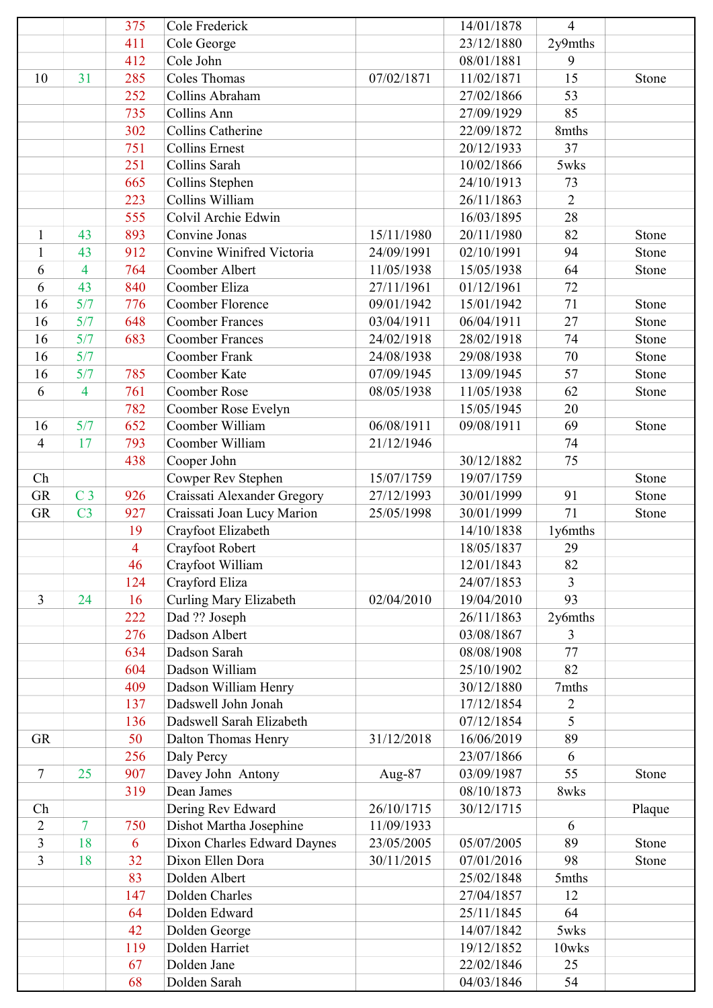|                |                          | 375            | Cole Frederick              |            | 14/01/1878 | $\overline{4}$ |        |
|----------------|--------------------------|----------------|-----------------------------|------------|------------|----------------|--------|
|                |                          | 411            | Cole George                 |            | 23/12/1880 | 2y9mths        |        |
|                |                          | 412            | Cole John                   |            | 08/01/1881 | 9              |        |
| 10             | 31                       | 285            | <b>Coles Thomas</b>         | 07/02/1871 | 11/02/1871 | 15             | Stone  |
|                |                          | 252            | Collins Abraham             |            | 27/02/1866 | 53             |        |
|                |                          | 735            | Collins Ann                 |            | 27/09/1929 | 85             |        |
|                |                          | 302            | <b>Collins Catherine</b>    |            | 22/09/1872 | 8mths          |        |
|                |                          | 751            | <b>Collins Ernest</b>       |            | 20/12/1933 | 37             |        |
|                |                          | 251            | Collins Sarah               |            | 10/02/1866 | 5wks           |        |
|                |                          | 665            | Collins Stephen             |            | 24/10/1913 | 73             |        |
|                |                          | 223            | Collins William             |            | 26/11/1863 | $\overline{2}$ |        |
|                |                          | 555            | Colvil Archie Edwin         |            | 16/03/1895 | 28             |        |
| 1              | 43                       | 893            | Convine Jonas               | 15/11/1980 | 20/11/1980 | 82             | Stone  |
| $\mathbf{1}$   | 43                       | 912            | Convine Winifred Victoria   | 24/09/1991 | 02/10/1991 | 94             | Stone  |
| 6              | $\overline{\mathcal{A}}$ | 764            | Coomber Albert              | 11/05/1938 | 15/05/1938 | 64             | Stone  |
| 6              | 43                       | 840            | Coomber Eliza               | 27/11/1961 | 01/12/1961 | 72             |        |
| 16             | 5/7                      | 776            | Coomber Florence            | 09/01/1942 | 15/01/1942 | 71             | Stone  |
| 16             | 5/7                      | 648            | <b>Coomber Frances</b>      | 03/04/1911 | 06/04/1911 | 27             | Stone  |
| 16             | 5/7                      | 683            | <b>Coomber Frances</b>      | 24/02/1918 | 28/02/1918 | 74             | Stone  |
| 16             | 5/7                      |                | <b>Coomber Frank</b>        | 24/08/1938 | 29/08/1938 | 70             | Stone  |
| 16             | 5/7                      | 785            | <b>Coomber Kate</b>         | 07/09/1945 | 13/09/1945 | 57             | Stone  |
| 6              | $\overline{\mathcal{A}}$ | 761            | <b>Coomber Rose</b>         | 08/05/1938 | 11/05/1938 | 62             | Stone  |
|                |                          | 782            | Coomber Rose Evelyn         |            | 15/05/1945 | 20             |        |
| 16             | 5/7                      | 652            | Coomber William             | 06/08/1911 | 09/08/1911 | 69             | Stone  |
| $\overline{4}$ | 17                       | 793            | Coomber William             | 21/12/1946 |            | 74             |        |
|                |                          | 438            | Cooper John                 |            | 30/12/1882 | 75             |        |
| Ch             |                          |                | Cowper Rev Stephen          | 15/07/1759 | 19/07/1759 |                | Stone  |
| <b>GR</b>      | C <sub>3</sub>           | 926            | Craissati Alexander Gregory | 27/12/1993 | 30/01/1999 | 91             | Stone  |
| <b>GR</b>      | C <sub>3</sub>           | 927            | Craissati Joan Lucy Marion  | 25/05/1998 | 30/01/1999 | 71             | Stone  |
|                |                          | 19             | Crayfoot Elizabeth          |            | 14/10/1838 | 1y6mths        |        |
|                |                          | $\overline{4}$ | Crayfoot Robert             |            | 18/05/1837 | 29             |        |
|                |                          | 46             | Crayfoot William            |            | 12/01/1843 | 82             |        |
|                |                          | 124            | Crayford Eliza              |            | 24/07/1853 | 3              |        |
| $\overline{3}$ | 24                       | 16             | Curling Mary Elizabeth      | 02/04/2010 | 19/04/2010 | 93             |        |
|                |                          | 222            | Dad ?? Joseph               |            | 26/11/1863 | 2y6mths        |        |
|                |                          | 276            | Dadson Albert               |            | 03/08/1867 | 3              |        |
|                |                          | 634            | Dadson Sarah                |            | 08/08/1908 | 77             |        |
|                |                          | 604            | Dadson William              |            | 25/10/1902 | 82             |        |
|                |                          | 409            | Dadson William Henry        |            | 30/12/1880 | 7mths          |        |
|                |                          | 137            | Dadswell John Jonah         |            | 17/12/1854 | $\overline{2}$ |        |
|                |                          | 136            | Dadswell Sarah Elizabeth    |            | 07/12/1854 | 5              |        |
| <b>GR</b>      |                          | 50             | Dalton Thomas Henry         | 31/12/2018 | 16/06/2019 | 89             |        |
|                |                          | 256            | Daly Percy                  |            | 23/07/1866 | 6              |        |
| 7              | 25                       | 907            | Davey John Antony           | Aug-87     | 03/09/1987 | 55             | Stone  |
|                |                          | 319            | Dean James                  |            | 08/10/1873 | 8wks           |        |
| Ch             |                          |                | Dering Rev Edward           | 26/10/1715 | 30/12/1715 |                | Plaque |
| $\overline{2}$ | $\overline{7}$           | 750            | Dishot Martha Josephine     | 11/09/1933 |            | 6              |        |
| 3              | 18                       | 6              | Dixon Charles Edward Daynes | 23/05/2005 | 05/07/2005 | 89             | Stone  |
| 3              | 18                       | 32             | Dixon Ellen Dora            | 30/11/2015 | 07/01/2016 | 98             | Stone  |
|                |                          | 83             | Dolden Albert               |            | 25/02/1848 | 5mths          |        |
|                |                          | 147            | Dolden Charles              |            | 27/04/1857 | 12             |        |
|                |                          | 64             | Dolden Edward               |            | 25/11/1845 | 64             |        |
|                |                          | 42             | Dolden George               |            | 14/07/1842 | 5wks           |        |
|                |                          | 119            | Dolden Harriet              |            | 19/12/1852 | 10wks          |        |
|                |                          | 67             | Dolden Jane                 |            | 22/02/1846 | 25             |        |
|                |                          | 68             | Dolden Sarah                |            | 04/03/1846 | 54             |        |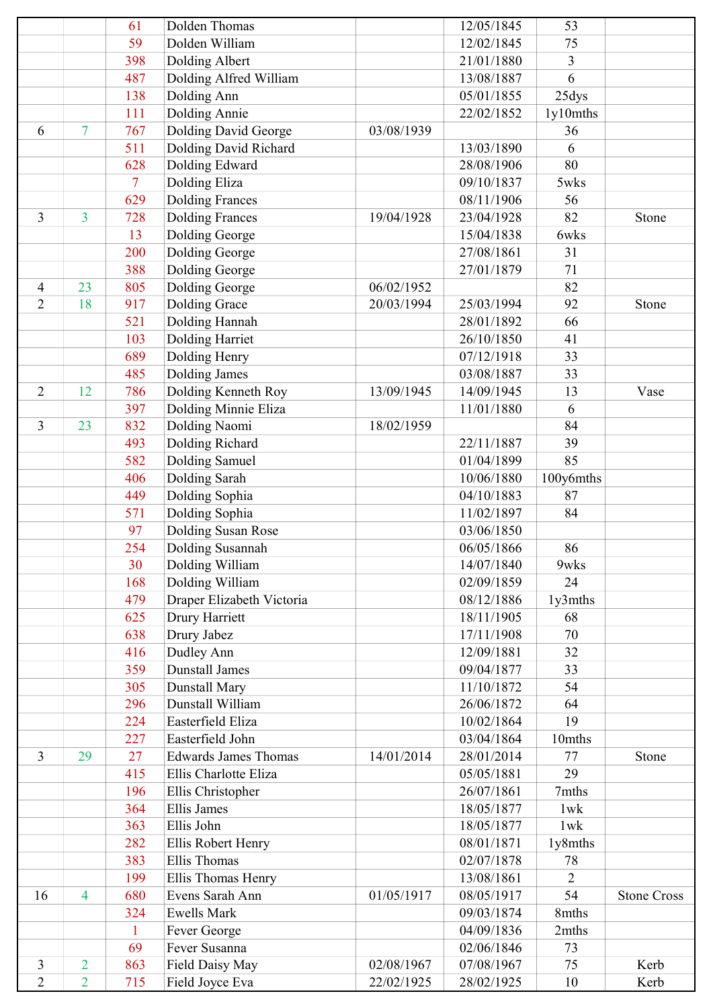|                |                | 61  | Dolden Thomas               |            | 12/05/1845 | 53             |                    |
|----------------|----------------|-----|-----------------------------|------------|------------|----------------|--------------------|
|                |                | 59  | Dolden William              |            | 12/02/1845 | 75             |                    |
|                |                | 398 | Dolding Albert              |            | 21/01/1880 | 3              |                    |
|                |                | 487 | Dolding Alfred William      |            | 13/08/1887 | 6              |                    |
|                |                | 138 | Dolding Ann                 |            | 05/01/1855 | 25dys          |                    |
|                |                | 111 | Dolding Annie               |            | 22/02/1852 | 1y10mths       |                    |
| 6              | 7              | 767 | <b>Dolding David George</b> | 03/08/1939 |            | 36             |                    |
|                |                | 511 | Dolding David Richard       |            | 13/03/1890 | 6              |                    |
|                |                | 628 | Dolding Edward              |            | 28/08/1906 | 80             |                    |
|                |                | 7   | Dolding Eliza               |            | 09/10/1837 | 5wks           |                    |
|                |                | 629 | <b>Dolding Frances</b>      |            | 08/11/1906 | 56             |                    |
| 3              | 3              | 728 | <b>Dolding Frances</b>      | 19/04/1928 | 23/04/1928 | 82             | Stone              |
|                |                | 13  | Dolding George              |            | 15/04/1838 | 6wks           |                    |
|                |                | 200 | Dolding George              |            | 27/08/1861 | 31             |                    |
|                |                | 388 | Dolding George              |            | 27/01/1879 | 71             |                    |
| 4              | 23             | 805 | Dolding George              | 06/02/1952 |            | 82             |                    |
| $\overline{2}$ | 18             | 917 | <b>Dolding Grace</b>        | 20/03/1994 | 25/03/1994 | 92             | Stone              |
|                |                | 521 | Dolding Hannah              |            | 28/01/1892 | 66             |                    |
|                |                | 103 | <b>Dolding Harriet</b>      |            | 26/10/1850 | 41             |                    |
|                |                | 689 | Dolding Henry               |            | 07/12/1918 | 33             |                    |
|                |                | 485 | Dolding James               |            | 03/08/1887 | 33             |                    |
| $\overline{2}$ | 12             | 786 | Dolding Kenneth Roy         | 13/09/1945 | 14/09/1945 | 13             | Vase               |
|                |                | 397 | Dolding Minnie Eliza        |            | 11/01/1880 | 6              |                    |
| 3              | 23             | 832 | Dolding Naomi               | 18/02/1959 |            | 84             |                    |
|                |                | 493 | Dolding Richard             |            | 22/11/1887 | 39             |                    |
|                |                | 582 | Dolding Samuel              |            | 01/04/1899 | 85             |                    |
|                |                | 406 | Dolding Sarah               |            | 10/06/1880 | 100y6mths      |                    |
|                |                | 449 | Dolding Sophia              |            | 04/10/1883 | 87             |                    |
|                |                | 571 | Dolding Sophia              |            | 11/02/1897 | 84             |                    |
|                |                | 97  | Dolding Susan Rose          |            | 03/06/1850 |                |                    |
|                |                | 254 | Dolding Susannah            |            | 06/05/1866 | 86             |                    |
|                |                | 30  | Dolding William             |            | 14/07/1840 | 9wks           |                    |
|                |                | 168 | Dolding William             |            | 02/09/1859 | 24             |                    |
|                |                | 479 | Draper Elizabeth Victoria   |            | 08/12/1886 | 1y3mths        |                    |
|                |                | 625 | Drury Harriett              |            | 18/11/1905 | 68             |                    |
|                |                | 638 | Drury Jabez                 |            | 17/11/1908 | 70             |                    |
|                |                | 416 | Dudley Ann                  |            | 12/09/1881 | 32             |                    |
|                |                | 359 | <b>Dunstall James</b>       |            | 09/04/1877 | 33             |                    |
|                |                | 305 | <b>Dunstall Mary</b>        |            | 11/10/1872 | 54             |                    |
|                |                | 296 | Dunstall William            |            | 26/06/1872 | 64             |                    |
|                |                | 224 | Easterfield Eliza           |            | 10/02/1864 | 19             |                    |
|                |                | 227 | Easterfield John            |            | 03/04/1864 | 10mths         |                    |
| 3              | 29             | 27  | <b>Edwards James Thomas</b> | 14/01/2014 | 28/01/2014 | 77             | Stone              |
|                |                | 415 | Ellis Charlotte Eliza       |            | 05/05/1881 | 29             |                    |
|                |                | 196 | Ellis Christopher           |            | 26/07/1861 | 7mths          |                    |
|                |                | 364 | <b>Ellis James</b>          |            | 18/05/1877 | $1$ w $k$      |                    |
|                |                | 363 | Ellis John                  |            | 18/05/1877 | $1$ w $k$      |                    |
|                |                | 282 | Ellis Robert Henry          |            | 08/01/1871 | 1y8mths        |                    |
|                |                | 383 | <b>Ellis Thomas</b>         |            | 02/07/1878 | 78             |                    |
|                |                | 199 | Ellis Thomas Henry          |            | 13/08/1861 | $\overline{2}$ |                    |
| 16             | 4              | 680 | Evens Sarah Ann             | 01/05/1917 | 08/05/1917 | 54             | <b>Stone Cross</b> |
|                |                | 324 | <b>Ewells Mark</b>          |            | 09/03/1874 | 8mths          |                    |
|                |                | 1   | Fever George                |            | 04/09/1836 | 2mths          |                    |
|                |                | 69  | Fever Susanna               |            | 02/06/1846 | 73             |                    |
| 3              | $\overline{2}$ | 863 | Field Daisy May             | 02/08/1967 | 07/08/1967 | 75             | Kerb               |
| $\overline{2}$ | $\overline{2}$ | 715 | Field Joyce Eva             | 22/02/1925 | 28/02/1925 | 10             | Kerb               |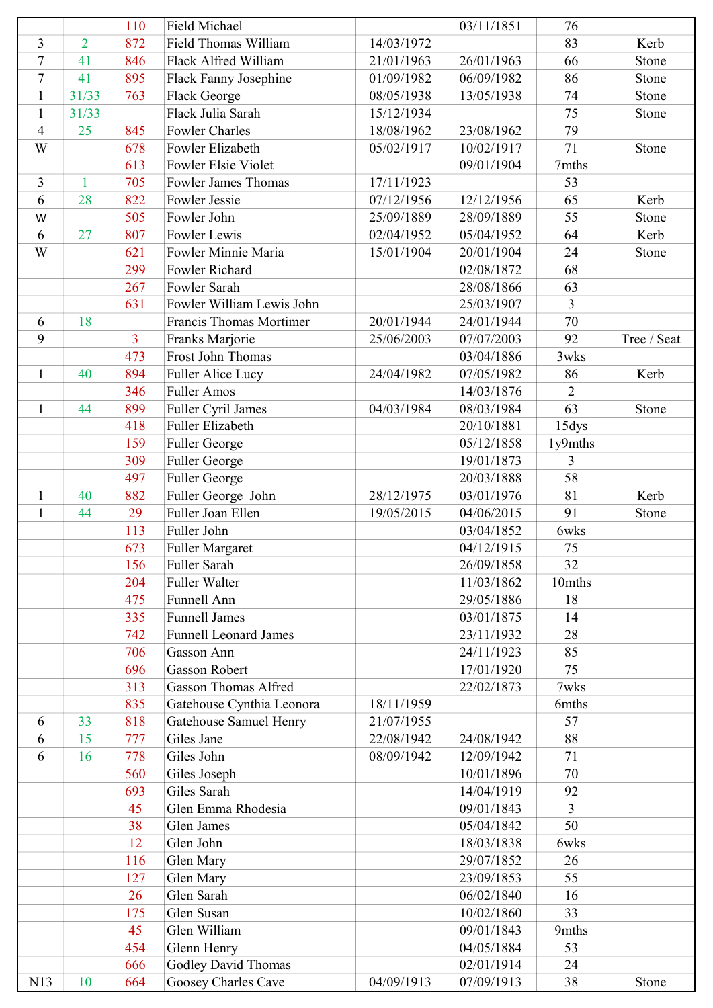|                |                | 110            | Field Michael                |            | 03/11/1851 | 76             |             |
|----------------|----------------|----------------|------------------------------|------------|------------|----------------|-------------|
| 3              | $\overline{2}$ | 872            | Field Thomas William         | 14/03/1972 |            | 83             | Kerb        |
| $\overline{7}$ | 41             | 846            | Flack Alfred William         | 21/01/1963 | 26/01/1963 | 66             | Stone       |
| $\overline{7}$ | 41             | 895            | Flack Fanny Josephine        | 01/09/1982 | 06/09/1982 | 86             | Stone       |
| $\mathbf{1}$   | 31/33          | 763            | Flack George                 | 08/05/1938 | 13/05/1938 | 74             | Stone       |
| $\mathbf{1}$   | 31/33          |                | Flack Julia Sarah            | 15/12/1934 |            | 75             | Stone       |
| 4              | 25             | 845            | <b>Fowler Charles</b>        | 18/08/1962 | 23/08/1962 | 79             |             |
| W              |                | 678            | Fowler Elizabeth             | 05/02/1917 | 10/02/1917 | 71             | Stone       |
|                |                | 613            | Fowler Elsie Violet          |            | 09/01/1904 | 7mths          |             |
| 3              | $\mathbf{1}$   | 705            | <b>Fowler James Thomas</b>   | 17/11/1923 |            | 53             |             |
| 6              | 28             | 822            | Fowler Jessie                | 07/12/1956 | 12/12/1956 | 65             | Kerb        |
| W              |                | 505            | Fowler John                  | 25/09/1889 | 28/09/1889 | 55             | Stone       |
| 6              | 27             | 807            | Fowler Lewis                 | 02/04/1952 | 05/04/1952 | 64             | Kerb        |
| W              |                | 621            | Fowler Minnie Maria          | 15/01/1904 | 20/01/1904 | 24             | Stone       |
|                |                | 299            | Fowler Richard               |            | 02/08/1872 | 68             |             |
|                |                | 267            | Fowler Sarah                 |            | 28/08/1866 | 63             |             |
|                |                | 631            | Fowler William Lewis John    |            | 25/03/1907 | 3              |             |
| 6              | 18             |                | Francis Thomas Mortimer      | 20/01/1944 | 24/01/1944 | 70             |             |
| 9              |                | $\overline{3}$ | Franks Marjorie              | 25/06/2003 | 07/07/2003 | 92             | Tree / Seat |
|                |                | 473            | Frost John Thomas            |            | 03/04/1886 | 3wks           |             |
| $\mathbf{1}$   | 40             | 894            | Fuller Alice Lucy            | 24/04/1982 | 07/05/1982 | 86             | Kerb        |
|                |                | 346            | <b>Fuller Amos</b>           |            | 14/03/1876 | $\overline{2}$ |             |
| $\mathbf{1}$   | 44             | 899            | Fuller Cyril James           | 04/03/1984 | 08/03/1984 | 63             | Stone       |
|                |                | 418            | Fuller Elizabeth             |            | 20/10/1881 | 15dys          |             |
|                |                | 159            | Fuller George                |            | 05/12/1858 | 1y9mths        |             |
|                |                | 309            | Fuller George                |            | 19/01/1873 | 3              |             |
|                |                | 497            | Fuller George                |            | 20/03/1888 | 58             |             |
| $\mathbf{1}$   | 40             | 882            | Fuller George John           | 28/12/1975 | 03/01/1976 | 81             | Kerb        |
| $\mathbf{1}$   | 44             | 29             | Fuller Joan Ellen            | 19/05/2015 | 04/06/2015 | 91             | Stone       |
|                |                | 113            | Fuller John                  |            | 03/04/1852 | 6wks           |             |
|                |                | 673            | Fuller Margaret              |            | 04/12/1915 | 75             |             |
|                |                | 156            | Fuller Sarah                 |            | 26/09/1858 | 32             |             |
|                |                | 204            | Fuller Walter                |            | 11/03/1862 | 10mths         |             |
|                |                | 475            | Funnell Ann                  |            | 29/05/1886 | 18             |             |
|                |                | 335            | <b>Funnell James</b>         |            | 03/01/1875 | 14             |             |
|                |                | 742            | <b>Funnell Leonard James</b> |            | 23/11/1932 | 28             |             |
|                |                | 706            | Gasson Ann                   |            | 24/11/1923 | 85             |             |
|                |                | 696            | <b>Gasson Robert</b>         |            | 17/01/1920 | 75             |             |
|                |                | 313            | <b>Gasson Thomas Alfred</b>  |            | 22/02/1873 | 7wks           |             |
|                |                | 835            | Gatehouse Cynthia Leonora    | 18/11/1959 |            | 6mths          |             |
| 6              | 33             | 818            | Gatehouse Samuel Henry       | 21/07/1955 |            | 57             |             |
| 6              | 15             | 777            | Giles Jane                   | 22/08/1942 | 24/08/1942 | 88             |             |
| 6              | 16             | 778            | Giles John                   | 08/09/1942 | 12/09/1942 | 71             |             |
|                |                | 560            | Giles Joseph                 |            | 10/01/1896 | 70             |             |
|                |                | 693            | Giles Sarah                  |            | 14/04/1919 | 92             |             |
|                |                | 45             | Glen Emma Rhodesia           |            | 09/01/1843 | $\overline{3}$ |             |
|                |                | 38             | Glen James                   |            | 05/04/1842 | 50             |             |
|                |                | 12             | Glen John                    |            | 18/03/1838 | 6wks           |             |
|                |                | 116            | Glen Mary                    |            | 29/07/1852 | 26             |             |
|                |                | 127            | Glen Mary                    |            | 23/09/1853 | 55             |             |
|                |                | 26             | Glen Sarah                   |            | 06/02/1840 | 16             |             |
|                |                | 175            | Glen Susan                   |            | 10/02/1860 | 33             |             |
|                |                | 45             |                              |            |            |                |             |
|                |                |                | Glen William                 |            | 09/01/1843 | 9mths<br>53    |             |
|                |                | 454            | Glenn Henry                  |            | 04/05/1884 |                |             |
|                |                | 666            | Godley David Thomas          |            | 02/01/1914 | 24             |             |
| N13            | 10             | 664            | Goosey Charles Cave          | 04/09/1913 | 07/09/1913 | 38             | Stone       |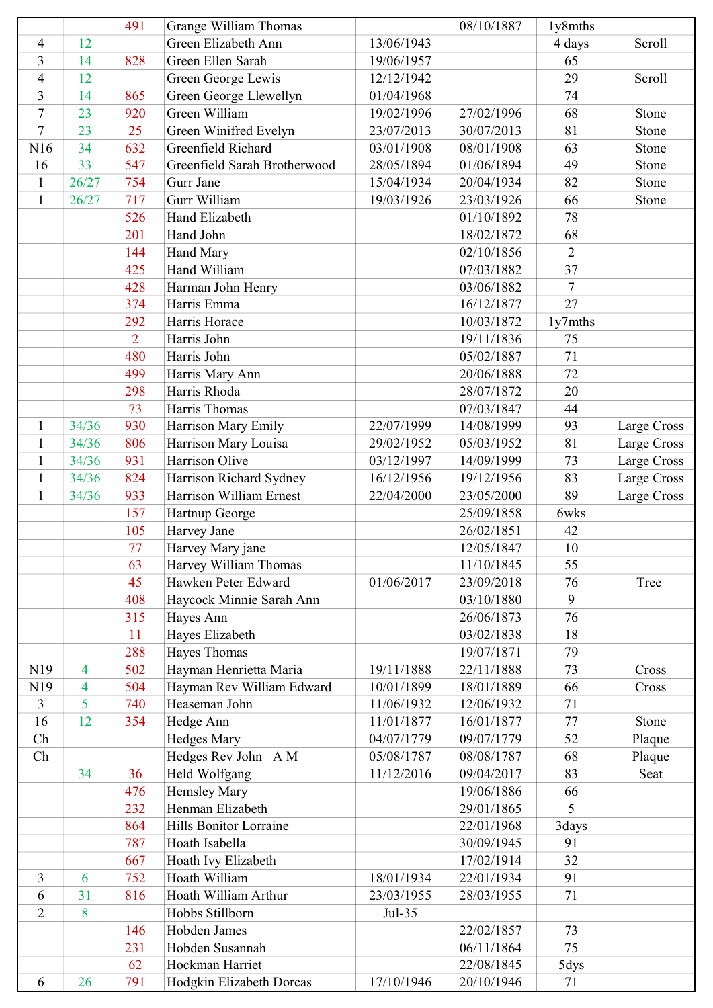|                |       | 491            | Grange William Thomas         |            | 08/10/1887 | 1y8mths        |             |
|----------------|-------|----------------|-------------------------------|------------|------------|----------------|-------------|
| $\overline{4}$ | 12    |                | Green Elizabeth Ann           | 13/06/1943 |            | 4 days         | Scroll      |
| 3              | 14    | 828            | Green Ellen Sarah             | 19/06/1957 |            | 65             |             |
| 4              | 12    |                | Green George Lewis            | 12/12/1942 |            | 29             | Scroll      |
| $\overline{3}$ | 14    | 865            | Green George Llewellyn        | 01/04/1968 |            | 74             |             |
| $\tau$         | 23    | 920            | Green William                 | 19/02/1996 | 27/02/1996 | 68             | Stone       |
| $\tau$         | 23    | 25             | Green Winifred Evelyn         | 23/07/2013 | 30/07/2013 | 81             | Stone       |
| N16            | 34    | 632            | Greenfield Richard            | 03/01/1908 | 08/01/1908 | 63             | Stone       |
| 16             | 33    | 547            | Greenfield Sarah Brotherwood  | 28/05/1894 | 01/06/1894 | 49             | Stone       |
| $\mathbf{1}$   | 26/27 | 754            | Gurr Jane                     | 15/04/1934 | 20/04/1934 | 82             | Stone       |
| $\mathbf{1}$   | 26/27 | 717            | Gurr William                  | 19/03/1926 | 23/03/1926 | 66             | Stone       |
|                |       | 526            | Hand Elizabeth                |            | 01/10/1892 | 78             |             |
|                |       | 201            | Hand John                     |            | 18/02/1872 | 68             |             |
|                |       | 144            | <b>Hand Mary</b>              |            | 02/10/1856 | $\overline{2}$ |             |
|                |       | 425            | Hand William                  |            | 07/03/1882 | 37             |             |
|                |       | 428            | Harman John Henry             |            | 03/06/1882 | $\overline{7}$ |             |
|                |       | 374            | Harris Emma                   |            | 16/12/1877 | 27             |             |
|                |       | 292            | Harris Horace                 |            | 10/03/1872 | 1y7mths        |             |
|                |       | $\overline{2}$ | Harris John                   |            | 19/11/1836 | 75             |             |
|                |       | 480            | Harris John                   |            | 05/02/1887 | 71             |             |
|                |       | 499            | Harris Mary Ann               |            | 20/06/1888 | 72             |             |
|                |       | 298            | Harris Rhoda                  |            | 28/07/1872 | 20             |             |
|                |       | 73             | Harris Thomas                 |            | 07/03/1847 | 44             |             |
| $\mathbf{1}$   | 34/36 | 930            | Harrison Mary Emily           | 22/07/1999 | 14/08/1999 | 93             | Large Cross |
| $\mathbf{1}$   | 34/36 | 806            | Harrison Mary Louisa          | 29/02/1952 | 05/03/1952 | 81             | Large Cross |
| $\mathbf{1}$   | 34/36 | 931            | Harrison Olive                | 03/12/1997 | 14/09/1999 | 73             | Large Cross |
| $\mathbf{1}$   | 34/36 | 824            | Harrison Richard Sydney       | 16/12/1956 | 19/12/1956 | 83             | Large Cross |
| $\mathbf{1}$   | 34/36 | 933            | Harrison William Ernest       | 22/04/2000 | 23/05/2000 | 89             | Large Cross |
|                |       | 157            | Hartnup George                |            | 25/09/1858 | 6wks           |             |
|                |       | 105            | Harvey Jane                   |            | 26/02/1851 | 42             |             |
|                |       | 77             | Harvey Mary jane              |            | 12/05/1847 | 10             |             |
|                |       | 63             | Harvey William Thomas         |            | 11/10/1845 | 55             |             |
|                |       | 45             | Hawken Peter Edward           | 01/06/2017 | 23/09/2018 | 76             | Tree        |
|                |       | 408            | Haycock Minnie Sarah Ann      |            | 03/10/1880 | 9              |             |
|                |       | 315            | Hayes Ann                     |            | 26/06/1873 | 76             |             |
|                |       | 11             | Hayes Elizabeth               |            | 03/02/1838 | 18             |             |
|                |       | 288            | Hayes Thomas                  |            | 19/07/1871 | 79             |             |
| N19            | 4     | 502            | Hayman Henrietta Maria        | 19/11/1888 | 22/11/1888 | 73             | Cross       |
| N19            | 4     | 504            | Hayman Rev William Edward     | 10/01/1899 | 18/01/1889 | 66             | Cross       |
| $\overline{3}$ | 5     | 740            | Heaseman John                 | 11/06/1932 | 12/06/1932 | 71             |             |
| 16             | 12    | 354            | Hedge Ann                     | 11/01/1877 | 16/01/1877 | 77             | Stone       |
| Ch             |       |                | <b>Hedges Mary</b>            | 04/07/1779 | 09/07/1779 | 52             | Plaque      |
| Ch             |       |                | Hedges Rev John A M           | 05/08/1787 | 08/08/1787 | 68             | Plaque      |
|                | 34    | 36             | Held Wolfgang                 | 11/12/2016 | 09/04/2017 | 83             | Seat        |
|                |       | 476            | <b>Hemsley Mary</b>           |            | 19/06/1886 | 66             |             |
|                |       | 232            | Henman Elizabeth              |            | 29/01/1865 | 5              |             |
|                |       | 864            | <b>Hills Bonitor Lorraine</b> |            | 22/01/1968 | 3days          |             |
|                |       | 787            | Hoath Isabella                |            | 30/09/1945 | 91             |             |
|                |       | 667            | Hoath Ivy Elizabeth           |            | 17/02/1914 | 32             |             |
| 3              | 6     | 752            | Hoath William                 | 18/01/1934 | 22/01/1934 | 91             |             |
| 6              | 31    | 816            | Hoath William Arthur          | 23/03/1955 | 28/03/1955 | 71             |             |
| $\overline{2}$ | 8     |                | Hobbs Stillborn               | Jul-35     |            |                |             |
|                |       | 146            | Hobden James                  |            | 22/02/1857 | 73             |             |
|                |       | 231            | Hobden Susannah               |            | 06/11/1864 | 75             |             |
|                |       | 62             | Hockman Harriet               |            | 22/08/1845 | 5dys           |             |
| 6              | 26    | 791            | Hodgkin Elizabeth Dorcas      | 17/10/1946 | 20/10/1946 | 71             |             |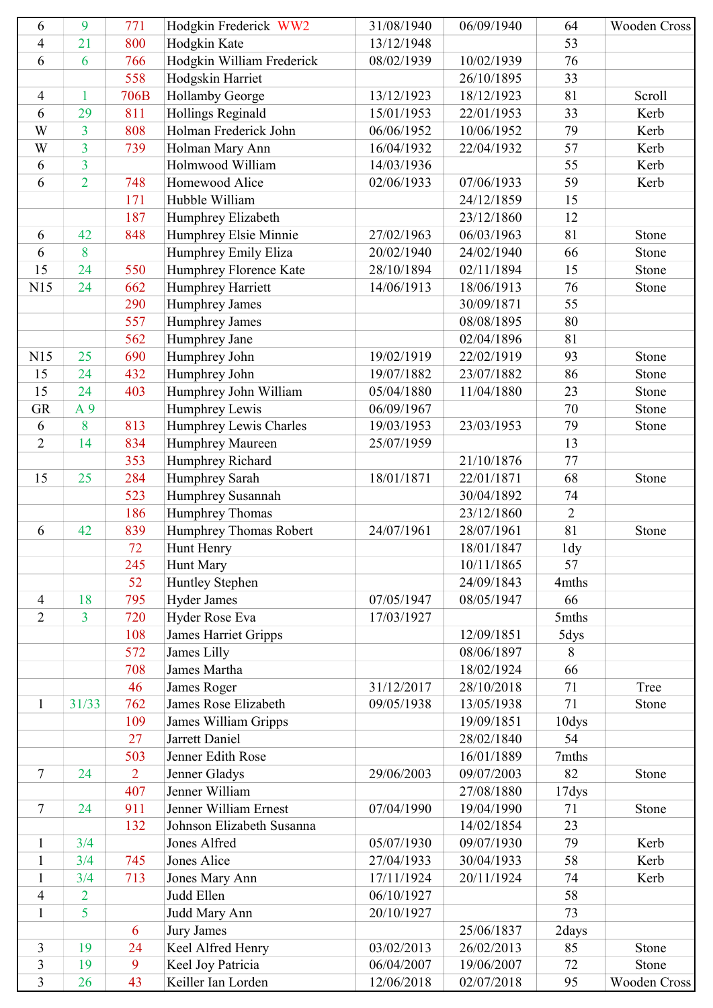| 6                   | 9              | 771            | Hodgkin Frederick WW2       | 31/08/1940 | 06/09/1940 | 64              | Wooden Cross |
|---------------------|----------------|----------------|-----------------------------|------------|------------|-----------------|--------------|
| 4                   | 21             | 800            | Hodgkin Kate                | 13/12/1948 |            | 53              |              |
| 6                   | 6              | 766            | Hodgkin William Frederick   | 08/02/1939 | 10/02/1939 | 76              |              |
|                     |                | 558            | Hodgskin Harriet            |            | 26/10/1895 | 33              |              |
| $\overline{4}$      | $\mathbf{1}$   | 706B           | <b>Hollamby George</b>      | 13/12/1923 | 18/12/1923 | 81              | Scroll       |
| 6                   | 29             | 811            | Hollings Reginald           | 15/01/1953 | 22/01/1953 | 33              | Kerb         |
| W                   | $\overline{3}$ | 808            | Holman Frederick John       | 06/06/1952 | 10/06/1952 | 79              | Kerb         |
| W                   | $\overline{3}$ | 739            | Holman Mary Ann             | 16/04/1932 | 22/04/1932 | 57              | Kerb         |
| 6                   | $\overline{3}$ |                | Holmwood William            | 14/03/1936 |            | 55              | Kerb         |
| 6                   | $\overline{2}$ | 748            | Homewood Alice              | 02/06/1933 | 07/06/1933 | 59              | Kerb         |
|                     |                | 171            | Hubble William              |            | 24/12/1859 | 15              |              |
|                     |                | 187            | Humphrey Elizabeth          |            | 23/12/1860 | 12              |              |
| 6                   | 42             | 848            | Humphrey Elsie Minnie       | 27/02/1963 | 06/03/1963 | 81              | Stone        |
| 6                   | 8              |                | Humphrey Emily Eliza        | 20/02/1940 | 24/02/1940 | 66              | Stone        |
| 15                  | 24             | 550            | Humphrey Florence Kate      | 28/10/1894 | 02/11/1894 | 15              | Stone        |
| N15                 | 24             | 662            | Humphrey Harriett           | 14/06/1913 | 18/06/1913 | 76              | Stone        |
|                     |                | 290            | Humphrey James              |            | 30/09/1871 | 55              |              |
|                     |                | 557            | Humphrey James              |            | 08/08/1895 | 80              |              |
|                     |                | 562            | Humphrey Jane               |            | 02/04/1896 | 81              |              |
| N15                 | 25             | 690            | Humphrey John               | 19/02/1919 | 22/02/1919 | 93              | Stone        |
| 15                  | 24             | 432            | Humphrey John               | 19/07/1882 | 23/07/1882 | 86              | Stone        |
| 15                  | 24             | 403            | Humphrey John William       | 05/04/1880 | 11/04/1880 | 23              | Stone        |
| <b>GR</b>           | A <sub>9</sub> |                | Humphrey Lewis              | 06/09/1967 |            | 70              | Stone        |
| 6                   | 8              | 813            | Humphrey Lewis Charles      | 19/03/1953 | 23/03/1953 | 79              | Stone        |
| $\overline{2}$      | 14             | 834            | Humphrey Maureen            | 25/07/1959 |            | 13              |              |
|                     |                | 353            | Humphrey Richard            |            | 21/10/1876 | 77              |              |
| 15                  | 25             | 284            | Humphrey Sarah              | 18/01/1871 | 22/01/1871 | 68              | Stone        |
|                     |                | 523            | Humphrey Susannah           |            | 30/04/1892 | 74              |              |
|                     |                | 186            | Humphrey Thomas             |            | 23/12/1860 | $\overline{2}$  |              |
| 6                   | 42             | 839            | Humphrey Thomas Robert      | 24/07/1961 | 28/07/1961 | 81              | Stone        |
|                     |                | 72             | <b>Hunt Henry</b>           |            | 18/01/1847 | 1 <sub>dy</sub> |              |
|                     |                | 245            | <b>Hunt Mary</b>            |            | 10/11/1865 | 57              |              |
|                     |                | 52             | Huntley Stephen             |            | 24/09/1843 | 4mths           |              |
| $\overline{4}$      | 18             | 795            | <b>Hyder James</b>          | 07/05/1947 | 08/05/1947 | 66              |              |
| $\overline{2}$      | $\overline{3}$ | 720            | Hyder Rose Eva              | 17/03/1927 |            | 5mths           |              |
|                     |                | 108            | <b>James Harriet Gripps</b> |            | 12/09/1851 | 5dys            |              |
|                     |                | 572            | James Lilly                 |            | 08/06/1897 | 8               |              |
|                     |                | 708            | James Martha                |            | 18/02/1924 | 66              |              |
|                     |                | 46             | <b>James Roger</b>          | 31/12/2017 | 28/10/2018 | 71              | Tree         |
| $\mathbf{1}$        | 31/33          | 762            | James Rose Elizabeth        | 09/05/1938 | 13/05/1938 | 71              | Stone        |
|                     |                | 109            | James William Gripps        |            | 19/09/1851 | 10dys           |              |
|                     |                | 27             | Jarrett Daniel              |            | 28/02/1840 | 54              |              |
|                     |                | 503            | Jenner Edith Rose           |            | 16/01/1889 | 7mths           |              |
| 7                   | 24             | $\overline{2}$ | Jenner Gladys               | 29/06/2003 | 09/07/2003 | 82              | Stone        |
|                     |                | 407            | Jenner William              |            | 27/08/1880 | 17dys           |              |
| $\tau$              | 24             | 911            | Jenner William Ernest       | 07/04/1990 | 19/04/1990 | 71              | Stone        |
|                     |                | 132            | Johnson Elizabeth Susanna   |            | 14/02/1854 | 23              |              |
| $\mathbf{1}$        | 3/4            |                | Jones Alfred                | 05/07/1930 | 09/07/1930 | 79              | Kerb         |
| $\mathbf{1}$        | 3/4            | 745            | Jones Alice                 | 27/04/1933 | 30/04/1933 | 58              | Kerb         |
| $\mathbf{1}$        | 3/4            | 713            | Jones Mary Ann              | 17/11/1924 | 20/11/1924 | 74              | Kerb         |
| $\overline{4}$      | $\overline{2}$ |                | Judd Ellen                  | 06/10/1927 |            | 58              |              |
| $\mathbf{1}$        | 5              |                | Judd Mary Ann               | 20/10/1927 |            | 73              |              |
|                     |                | 6              | <b>Jury James</b>           |            | 25/06/1837 | 2days           |              |
| $\overline{3}$      | 19             | 24             | Keel Alfred Henry           | 03/02/2013 | 26/02/2013 | 85              | Stone        |
|                     | 19             | 9              | Keel Joy Patricia           | 06/04/2007 | 19/06/2007 | 72              | Stone        |
| 3<br>$\overline{3}$ | 26             | 43             | Keiller Ian Lorden          | 12/06/2018 | 02/07/2018 | 95              | Wooden Cross |
|                     |                |                |                             |            |            |                 |              |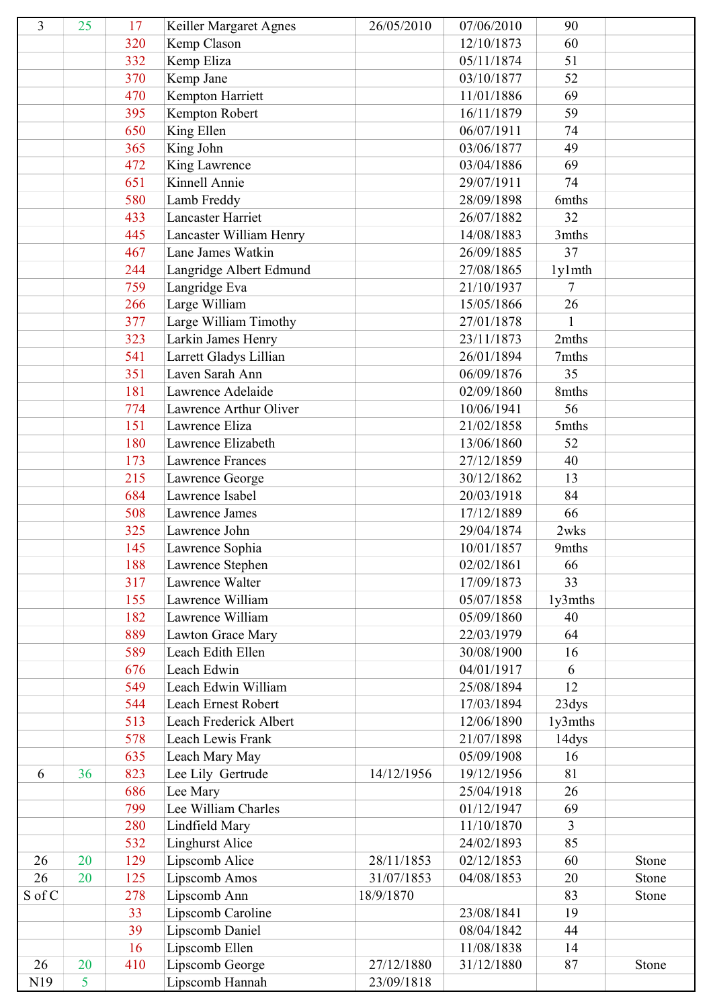| 3      | 25 | 17  | Keiller Margaret Agnes  | 26/05/2010 | 07/06/2010 | 90            |       |
|--------|----|-----|-------------------------|------------|------------|---------------|-------|
|        |    | 320 | Kemp Clason             |            | 12/10/1873 | 60            |       |
|        |    | 332 | Kemp Eliza              |            | 05/11/1874 | 51            |       |
|        |    | 370 | Kemp Jane               |            | 03/10/1877 | 52            |       |
|        |    | 470 | Kempton Harriett        |            | 11/01/1886 | 69            |       |
|        |    | 395 | Kempton Robert          |            | 16/11/1879 | 59            |       |
|        |    | 650 | King Ellen              |            | 06/07/1911 | 74            |       |
|        |    | 365 | King John               |            | 03/06/1877 | 49            |       |
|        |    | 472 | King Lawrence           |            | 03/04/1886 | 69            |       |
|        |    | 651 | Kinnell Annie           |            | 29/07/1911 | 74            |       |
|        |    | 580 | Lamb Freddy             |            | 28/09/1898 | 6mths         |       |
|        |    | 433 | Lancaster Harriet       |            | 26/07/1882 | 32            |       |
|        |    | 445 | Lancaster William Henry |            | 14/08/1883 | 3mths         |       |
|        |    | 467 | Lane James Watkin       |            | 26/09/1885 | 37            |       |
|        |    | 244 | Langridge Albert Edmund |            | 27/08/1865 | $1$ y $1$ mth |       |
|        |    | 759 | Langridge Eva           |            | 21/10/1937 | 7             |       |
|        |    | 266 | Large William           |            | 15/05/1866 | 26            |       |
|        |    | 377 | Large William Timothy   |            | 27/01/1878 | 1             |       |
|        |    | 323 | Larkin James Henry      |            | 23/11/1873 | 2mths         |       |
|        |    | 541 | Larrett Gladys Lillian  |            | 26/01/1894 | 7mths         |       |
|        |    | 351 | Laven Sarah Ann         |            | 06/09/1876 | 35            |       |
|        |    | 181 | Lawrence Adelaide       |            | 02/09/1860 | 8mths         |       |
|        |    | 774 | Lawrence Arthur Oliver  |            | 10/06/1941 | 56            |       |
|        |    | 151 | Lawrence Eliza          |            | 21/02/1858 | 5mths         |       |
|        |    | 180 | Lawrence Elizabeth      |            | 13/06/1860 | 52            |       |
|        |    | 173 | <b>Lawrence Frances</b> |            | 27/12/1859 | 40            |       |
|        |    | 215 | Lawrence George         |            | 30/12/1862 | 13            |       |
|        |    | 684 | Lawrence Isabel         |            | 20/03/1918 | 84            |       |
|        |    | 508 | Lawrence James          |            | 17/12/1889 | 66            |       |
|        |    | 325 | Lawrence John           |            | 29/04/1874 | 2wks          |       |
|        |    | 145 | Lawrence Sophia         |            | 10/01/1857 | 9mths         |       |
|        |    | 188 | Lawrence Stephen        |            | 02/02/1861 | 66            |       |
|        |    | 317 | Lawrence Walter         |            | 17/09/1873 | 33            |       |
|        |    | 155 | Lawrence William        |            | 05/07/1858 | 1y3mths       |       |
|        |    | 182 | Lawrence William        |            | 05/09/1860 | 40            |       |
|        |    | 889 | Lawton Grace Mary       |            | 22/03/1979 | 64            |       |
|        |    | 589 | Leach Edith Ellen       |            | 30/08/1900 | 16            |       |
|        |    | 676 | Leach Edwin             |            | 04/01/1917 | 6             |       |
|        |    | 549 | Leach Edwin William     |            | 25/08/1894 | 12            |       |
|        |    | 544 | Leach Ernest Robert     |            | 17/03/1894 | 23dys         |       |
|        |    | 513 | Leach Frederick Albert  |            | 12/06/1890 | 1y3mths       |       |
|        |    | 578 | Leach Lewis Frank       |            | 21/07/1898 | 14dys         |       |
|        |    | 635 | Leach Mary May          |            | 05/09/1908 | 16            |       |
| 6      | 36 | 823 | Lee Lily Gertrude       | 14/12/1956 | 19/12/1956 | 81            |       |
|        |    | 686 | Lee Mary                |            | 25/04/1918 | 26            |       |
|        |    | 799 | Lee William Charles     |            | 01/12/1947 | 69            |       |
|        |    | 280 | Lindfield Mary          |            | 11/10/1870 | 3             |       |
|        |    | 532 | <b>Linghurst Alice</b>  |            | 24/02/1893 | 85            |       |
| 26     | 20 | 129 | Lipscomb Alice          | 28/11/1853 | 02/12/1853 | 60            | Stone |
| 26     | 20 | 125 | Lipscomb Amos           | 31/07/1853 | 04/08/1853 | 20            | Stone |
| S of C |    | 278 | Lipscomb Ann            | 18/9/1870  |            | 83            | Stone |
|        |    | 33  | Lipscomb Caroline       |            | 23/08/1841 | 19            |       |
|        |    | 39  | Lipscomb Daniel         |            | 08/04/1842 | 44            |       |
|        |    | 16  | Lipscomb Ellen          |            | 11/08/1838 | 14            |       |
| 26     | 20 | 410 | Lipscomb George         | 27/12/1880 | 31/12/1880 | 87            | Stone |
| N19    | 5  |     | Lipscomb Hannah         | 23/09/1818 |            |               |       |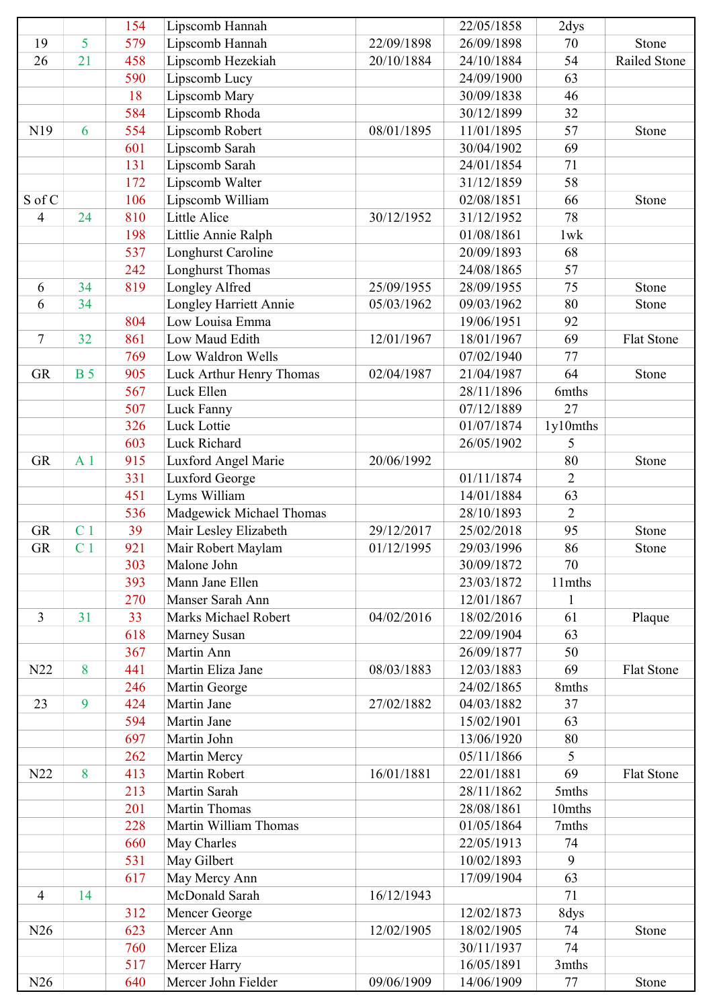|                |                | 154        | Lipscomb Hannah               |            | 22/05/1858 | 2dys           |                   |
|----------------|----------------|------------|-------------------------------|------------|------------|----------------|-------------------|
| 19             | 5              | 579        | Lipscomb Hannah               | 22/09/1898 | 26/09/1898 | 70             | Stone             |
| 26             | 21             | 458        | Lipscomb Hezekiah             | 20/10/1884 | 24/10/1884 | 54             | Railed Stone      |
|                |                | 590        | Lipscomb Lucy                 |            | 24/09/1900 | 63             |                   |
|                |                | 18         | Lipscomb Mary                 |            | 30/09/1838 | 46             |                   |
|                |                | 584        | Lipscomb Rhoda                |            | 30/12/1899 | 32             |                   |
| N19            | 6              | 554        | Lipscomb Robert               | 08/01/1895 | 11/01/1895 | 57             | Stone             |
|                |                | 601        | Lipscomb Sarah                |            | 30/04/1902 | 69             |                   |
|                |                | 131        | Lipscomb Sarah                |            | 24/01/1854 | 71             |                   |
|                |                | 172        | Lipscomb Walter               |            | 31/12/1859 | 58             |                   |
| S of C         |                | 106        | Lipscomb William              |            | 02/08/1851 | 66             | Stone             |
| $\overline{4}$ | 24             | 810        | Little Alice                  | 30/12/1952 | 31/12/1952 | 78             |                   |
|                |                | 198        | Littlie Annie Ralph           |            | 01/08/1861 | 1wk            |                   |
|                |                | 537        | Longhurst Caroline            |            | 20/09/1893 | 68             |                   |
|                |                | 242        | <b>Longhurst Thomas</b>       |            | 24/08/1865 | 57             |                   |
| 6              | 34             | 819        | Longley Alfred                | 25/09/1955 | 28/09/1955 | 75             | Stone             |
| 6              | 34             |            | Longley Harriett Annie        | 05/03/1962 | 09/03/1962 | 80             | Stone             |
|                |                | 804        | Low Louisa Emma               |            | 19/06/1951 | 92             |                   |
| $\tau$         | 32             | 861        | Low Maud Edith                | 12/01/1967 | 18/01/1967 | 69             | <b>Flat Stone</b> |
|                |                | 769        | Low Waldron Wells             |            | 07/02/1940 | 77             |                   |
| <b>GR</b>      | <b>B</b> 5     | 905        | Luck Arthur Henry Thomas      | 02/04/1987 | 21/04/1987 | 64             | Stone             |
|                |                | 567        | Luck Ellen                    |            | 28/11/1896 | 6mths          |                   |
|                |                | 507        | Luck Fanny                    |            | 07/12/1889 | 27             |                   |
|                |                | 326        | Luck Lottie                   |            | 01/07/1874 | 1y10mths       |                   |
|                |                | 603        | Luck Richard                  |            | 26/05/1902 | 5              |                   |
| <b>GR</b>      | A <sub>1</sub> | 915        | Luxford Angel Marie           | 20/06/1992 |            | 80             | Stone             |
|                |                | 331        | Luxford George                |            | 01/11/1874 | $\overline{2}$ |                   |
|                |                | 451        | Lyms William                  |            | 14/01/1884 | 63             |                   |
|                |                | 536        | Madgewick Michael Thomas      |            | 28/10/1893 | $\overline{2}$ |                   |
| <b>GR</b>      | C <sub>1</sub> | 39         | Mair Lesley Elizabeth         | 29/12/2017 | 25/02/2018 | 95             | Stone             |
| <b>GR</b>      | C <sub>1</sub> | 921        | Mair Robert Maylam            | 01/12/1995 | 29/03/1996 | 86             | Stone             |
|                |                | 303        | Malone John                   |            | 30/09/1872 | 70             |                   |
|                |                | 393        | Mann Jane Ellen               |            | 23/03/1872 | 11mths         |                   |
|                |                | 270        | Manser Sarah Ann              |            | 12/01/1867 | 1              |                   |
| 3              | 31             | 33         | Marks Michael Robert          | 04/02/2016 | 18/02/2016 | 61             | Plaque            |
|                |                | 618        | Marney Susan                  |            | 22/09/1904 | 63             |                   |
|                |                | 367        | Martin Ann                    |            | 26/09/1877 | 50             |                   |
| N22            | 8              | 441        | Martin Eliza Jane             | 08/03/1883 | 12/03/1883 | 69             | <b>Flat Stone</b> |
|                |                | 246        | Martin George                 |            | 24/02/1865 | 8mths          |                   |
| 23             | 9              | 424        | Martin Jane                   | 27/02/1882 | 04/03/1882 | 37             |                   |
|                |                | 594        | Martin Jane                   |            | 15/02/1901 | 63             |                   |
|                |                | 697        | Martin John                   |            | 13/06/1920 | 80             |                   |
|                |                |            |                               |            |            | 5              |                   |
| N22            |                | 262<br>413 | Martin Mercy<br>Martin Robert | 16/01/1881 | 05/11/1866 | 69             |                   |
|                | 8              |            | Martin Sarah                  |            | 22/01/1881 |                | <b>Flat Stone</b> |
|                |                | 213        |                               |            | 28/11/1862 | 5mths          |                   |
|                |                | 201        | Martin Thomas                 |            | 28/08/1861 | 10mths         |                   |
|                |                | 228        | Martin William Thomas         |            | 01/05/1864 | 7mths          |                   |
|                |                | 660        | May Charles                   |            | 22/05/1913 | 74             |                   |
|                |                | 531        | May Gilbert                   |            | 10/02/1893 | 9              |                   |
|                |                | 617        | May Mercy Ann                 |            | 17/09/1904 | 63             |                   |
| $\overline{4}$ | 14             |            | McDonald Sarah                | 16/12/1943 |            | 71             |                   |
|                |                | 312        | Mencer George                 |            | 12/02/1873 | 8dys           |                   |
| N26            |                | 623        | Mercer Ann                    | 12/02/1905 | 18/02/1905 | 74             | Stone             |
|                |                | 760        | Mercer Eliza                  |            | 30/11/1937 | 74             |                   |
|                |                | 517        | Mercer Harry                  |            | 16/05/1891 | 3mths          |                   |
| N26            |                | 640        | Mercer John Fielder           | 09/06/1909 | 14/06/1909 | 77             | Stone             |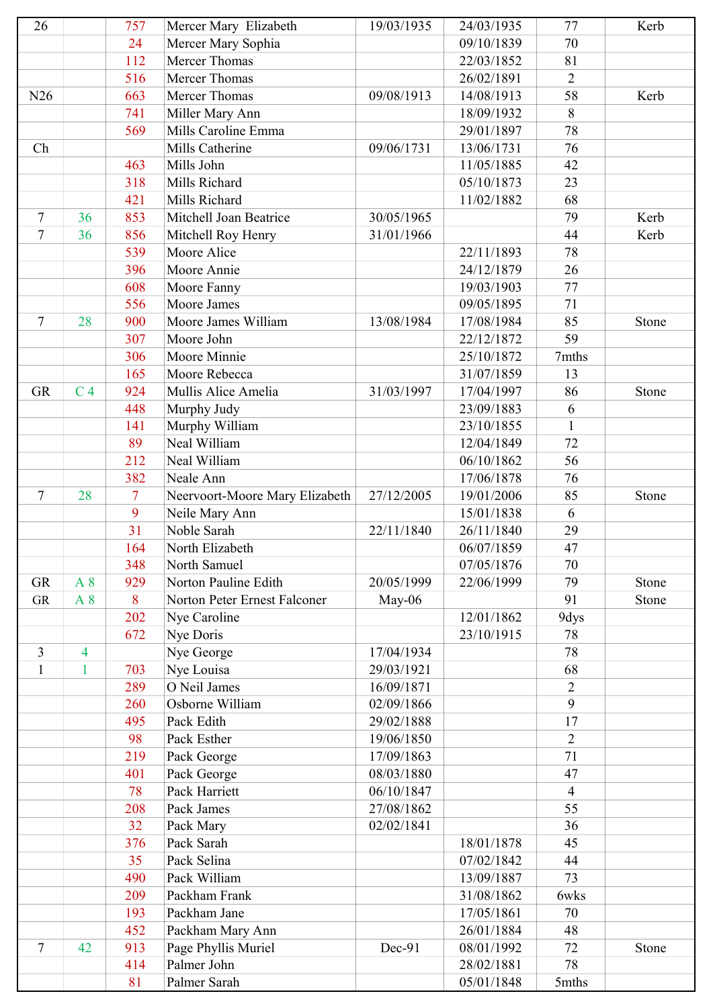| 26                |                          | 757            | Mercer Mary Elizabeth           | 19/03/1935               | 24/03/1935 | 77                  | Kerb  |
|-------------------|--------------------------|----------------|---------------------------------|--------------------------|------------|---------------------|-------|
|                   |                          | 24             | Mercer Mary Sophia              |                          | 09/10/1839 | 70                  |       |
|                   |                          | 112            | <b>Mercer Thomas</b>            |                          | 22/03/1852 | 81                  |       |
|                   |                          | 516            | Mercer Thomas                   |                          | 26/02/1891 | $\overline{2}$      |       |
| N26               |                          | 663            | <b>Mercer Thomas</b>            | 09/08/1913               | 14/08/1913 | 58                  | Kerb  |
|                   |                          | 741            | Miller Mary Ann                 |                          | 18/09/1932 | 8                   |       |
|                   |                          | 569            | Mills Caroline Emma             |                          | 29/01/1897 | 78                  |       |
| Ch                |                          |                | Mills Catherine                 | 09/06/1731               | 13/06/1731 | 76                  |       |
|                   |                          | 463            | Mills John                      |                          | 11/05/1885 | 42                  |       |
|                   |                          | 318            | Mills Richard                   |                          | 05/10/1873 | 23                  |       |
|                   |                          | 421            | Mills Richard                   |                          | 11/02/1882 | 68                  |       |
| 7                 | 36                       | 853            | Mitchell Joan Beatrice          | 30/05/1965               |            | 79                  | Kerb  |
| $\overline{7}$    | 36                       | 856            | Mitchell Roy Henry              | 31/01/1966               |            | 44                  | Kerb  |
|                   |                          | 539            | Moore Alice                     |                          | 22/11/1893 | 78                  |       |
|                   |                          | 396            | Moore Annie                     |                          | 24/12/1879 | 26                  |       |
|                   |                          | 608            | Moore Fanny                     |                          | 19/03/1903 | 77                  |       |
|                   |                          | 556            | Moore James                     |                          | 09/05/1895 | 71                  |       |
| 7                 | 28                       | 900            | Moore James William             | 13/08/1984               | 17/08/1984 | 85                  | Stone |
|                   |                          | 307            | Moore John                      |                          | 22/12/1872 | 59                  |       |
|                   |                          | 306            | Moore Minnie                    |                          | 25/10/1872 | 7mths               |       |
|                   |                          | 165            | Moore Rebecca                   |                          | 31/07/1859 | 13                  |       |
| <b>GR</b>         | C <sub>4</sub>           | 924            | Mullis Alice Amelia             | 31/03/1997               | 17/04/1997 | 86                  | Stone |
|                   |                          | 448            | Murphy Judy                     |                          | 23/09/1883 | 6                   |       |
|                   |                          | 141            | Murphy William                  |                          | 23/10/1855 | $\mathbf{1}$        |       |
|                   |                          | 89             | Neal William                    |                          | 12/04/1849 | 72                  |       |
|                   |                          | 212            | Neal William                    |                          | 06/10/1862 | 56                  |       |
|                   |                          | 382            | Neale Ann                       |                          | 17/06/1878 | 76                  |       |
| 7                 | 28                       | $\overline{7}$ | Neervoort-Moore Mary Elizabeth  | 27/12/2005               | 19/01/2006 | 85                  | Stone |
|                   |                          | 9              | Neile Mary Ann                  |                          | 15/01/1838 | 6                   |       |
|                   |                          | 31             | Noble Sarah                     | 22/11/1840               | 26/11/1840 | 29                  |       |
|                   |                          | 164            | North Elizabeth                 |                          | 06/07/1859 | 47                  |       |
|                   |                          | 348            | North Samuel                    |                          | 07/05/1876 | 70                  |       |
| <b>GR</b>         | A 8                      | 929            | Norton Pauline Edith            | 20/05/1999               | 22/06/1999 | 79                  | Stone |
| <b>GR</b>         | A 8                      | 8              | Norton Peter Ernest Falconer    | $May-06$                 |            | 91                  | Stone |
|                   |                          | 202            | Nye Caroline                    |                          | 12/01/1862 | 9dys                |       |
|                   |                          | 672            |                                 |                          | 23/10/1915 | 78                  |       |
|                   | $\overline{\mathcal{A}}$ |                | Nye Doris                       | 17/04/1934               |            | 78                  |       |
| 3<br>$\mathbf{1}$ | $\mathbf{1}$             | 703            | Nye George                      |                          |            | 68                  |       |
|                   |                          |                | Nye Louisa                      | 29/03/1921               |            |                     |       |
|                   |                          | 289<br>260     | O Neil James<br>Osborne William | 16/09/1871<br>02/09/1866 |            | $\overline{2}$<br>9 |       |
|                   |                          | 495            | Pack Edith                      | 29/02/1888               |            | 17                  |       |
|                   |                          | 98             | Pack Esther                     | 19/06/1850               |            | $\overline{2}$      |       |
|                   |                          | 219            | Pack George                     | 17/09/1863               |            | 71                  |       |
|                   |                          | 401            | Pack George                     | 08/03/1880               |            | 47                  |       |
|                   |                          | 78             | Pack Harriett                   | 06/10/1847               |            | $\overline{4}$      |       |
|                   |                          | 208            | Pack James                      | 27/08/1862               |            | 55                  |       |
|                   |                          | 32             | Pack Mary                       | 02/02/1841               |            | 36                  |       |
|                   |                          | 376            | Pack Sarah                      |                          | 18/01/1878 | 45                  |       |
|                   |                          | 35             | Pack Selina                     |                          | 07/02/1842 | 44                  |       |
|                   |                          | 490            | Pack William                    |                          | 13/09/1887 | 73                  |       |
|                   |                          | 209            | Packham Frank                   |                          | 31/08/1862 | 6wks                |       |
|                   |                          | 193            | Packham Jane                    |                          | 17/05/1861 | 70                  |       |
|                   |                          | 452            | Packham Mary Ann                |                          | 26/01/1884 | 48                  |       |
| 7                 | 42                       | 913            | Page Phyllis Muriel             | Dec-91                   | 08/01/1992 | 72                  | Stone |
|                   |                          | 414            | Palmer John                     |                          | 28/02/1881 | 78                  |       |
|                   |                          | 81             | Palmer Sarah                    |                          | 05/01/1848 | 5mths               |       |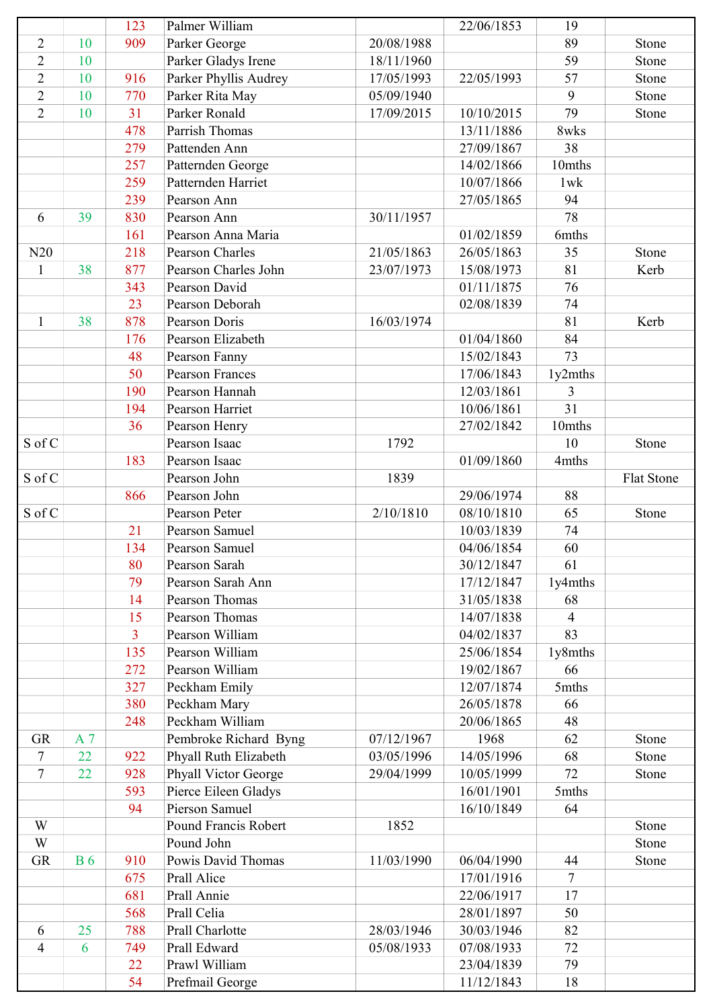|                |           | 123            | Palmer William         |            | 22/06/1853 | 19             |            |
|----------------|-----------|----------------|------------------------|------------|------------|----------------|------------|
| $\overline{2}$ | 10        | 909            | Parker George          | 20/08/1988 |            | 89             | Stone      |
| $\overline{2}$ | 10        |                | Parker Gladys Irene    | 18/11/1960 |            | 59             | Stone      |
| $\overline{2}$ | 10        | 916            | Parker Phyllis Audrey  | 17/05/1993 | 22/05/1993 | 57             | Stone      |
| $\overline{2}$ | 10        | 770            | Parker Rita May        | 05/09/1940 |            | 9              | Stone      |
| $\overline{2}$ | 10        | 31             | Parker Ronald          | 17/09/2015 | 10/10/2015 | 79             | Stone      |
|                |           | 478            | Parrish Thomas         |            | 13/11/1886 | 8wks           |            |
|                |           | 279            | Pattenden Ann          |            | 27/09/1867 | 38             |            |
|                |           | 257            | Patternden George      |            | 14/02/1866 | 10mths         |            |
|                |           | 259            | Patternden Harriet     |            | 10/07/1866 | 1wk            |            |
|                |           | 239            | Pearson Ann            |            | 27/05/1865 | 94             |            |
| 6              | 39        | 830            | Pearson Ann            | 30/11/1957 |            | 78             |            |
|                |           | 161            | Pearson Anna Maria     |            | 01/02/1859 | 6mths          |            |
| N20            |           | 218            | <b>Pearson Charles</b> | 21/05/1863 | 26/05/1863 | 35             | Stone      |
| 1              | 38        | 877            | Pearson Charles John   | 23/07/1973 | 15/08/1973 | 81             | Kerb       |
|                |           | 343            | Pearson David          |            | 01/11/1875 | 76             |            |
|                |           | 23             | Pearson Deborah        |            | 02/08/1839 | 74             |            |
| $\mathbf{1}$   | 38        | 878            | Pearson Doris          | 16/03/1974 |            | 81             | Kerb       |
|                |           | 176            | Pearson Elizabeth      |            | 01/04/1860 | 84             |            |
|                |           | 48             | Pearson Fanny          |            | 15/02/1843 | 73             |            |
|                |           | 50             | <b>Pearson Frances</b> |            | 17/06/1843 | 1y2mths        |            |
|                |           | 190            | Pearson Hannah         |            | 12/03/1861 | 3              |            |
|                |           | 194            | Pearson Harriet        |            | 10/06/1861 | 31             |            |
|                |           | 36             | Pearson Henry          |            | 27/02/1842 | 10mths         |            |
| S of C         |           |                | Pearson Isaac          | 1792       |            | 10             | Stone      |
|                |           | 183            | Pearson Isaac          |            | 01/09/1860 | 4mths          |            |
| S of C         |           |                | Pearson John           | 1839       |            |                | Flat Stone |
|                |           | 866            | Pearson John           |            | 29/06/1974 | 88             |            |
| S of C         |           |                | Pearson Peter          | 2/10/1810  | 08/10/1810 | 65             | Stone      |
|                |           | 21             | Pearson Samuel         |            | 10/03/1839 | 74             |            |
|                |           | 134            | Pearson Samuel         |            | 04/06/1854 | 60             |            |
|                |           | 80             | Pearson Sarah          |            | 30/12/1847 | 61             |            |
|                |           | 79             | Pearson Sarah Ann      |            | 17/12/1847 | 1y4mths        |            |
|                |           | 14             | Pearson Thomas         |            | 31/05/1838 | 68             |            |
|                |           | 15             | Pearson Thomas         |            | 14/07/1838 | $\overline{4}$ |            |
|                |           | $\overline{3}$ | Pearson William        |            | 04/02/1837 | 83             |            |
|                |           | 135            | Pearson William        |            | 25/06/1854 | 1y8mths        |            |
|                |           | 272            | Pearson William        |            | 19/02/1867 | 66             |            |
|                |           | 327            | Peckham Emily          |            | 12/07/1874 | 5mths          |            |
|                |           | 380            | Peckham Mary           |            | 26/05/1878 | 66             |            |
|                |           | 248            | Peckham William        |            | 20/06/1865 | 48             |            |
| <b>GR</b>      | A 7       |                | Pembroke Richard Byng  | 07/12/1967 | 1968       | 62             | Stone      |
| 7              | 22        | 922            | Phyall Ruth Elizabeth  | 03/05/1996 | 14/05/1996 | 68             | Stone      |
| $\tau$         | 22        | 928            | Phyall Victor George   | 29/04/1999 | 10/05/1999 | 72             | Stone      |
|                |           | 593            | Pierce Eileen Gladys   |            | 16/01/1901 | 5mths          |            |
|                |           | 94             | Pierson Samuel         |            | 16/10/1849 | 64             |            |
| W              |           |                | Pound Francis Robert   | 1852       |            |                | Stone      |
| W              |           |                | Pound John             |            |            |                | Stone      |
| <b>GR</b>      | <b>B6</b> | 910            | Powis David Thomas     | 11/03/1990 | 06/04/1990 | 44             | Stone      |
|                |           | 675            | Prall Alice            |            | 17/01/1916 | $\overline{7}$ |            |
|                |           | 681            | Prall Annie            |            | 22/06/1917 | 17             |            |
|                |           | 568            | Prall Celia            |            | 28/01/1897 | 50             |            |
| 6              | 25        | 788            | Prall Charlotte        | 28/03/1946 | 30/03/1946 | 82             |            |
| 4              | 6         | 749            | Prall Edward           | 05/08/1933 | 07/08/1933 | 72             |            |
|                |           | 22             | Prawl William          |            | 23/04/1839 | 79             |            |
|                |           | 54             | Prefmail George        |            | 11/12/1843 | 18             |            |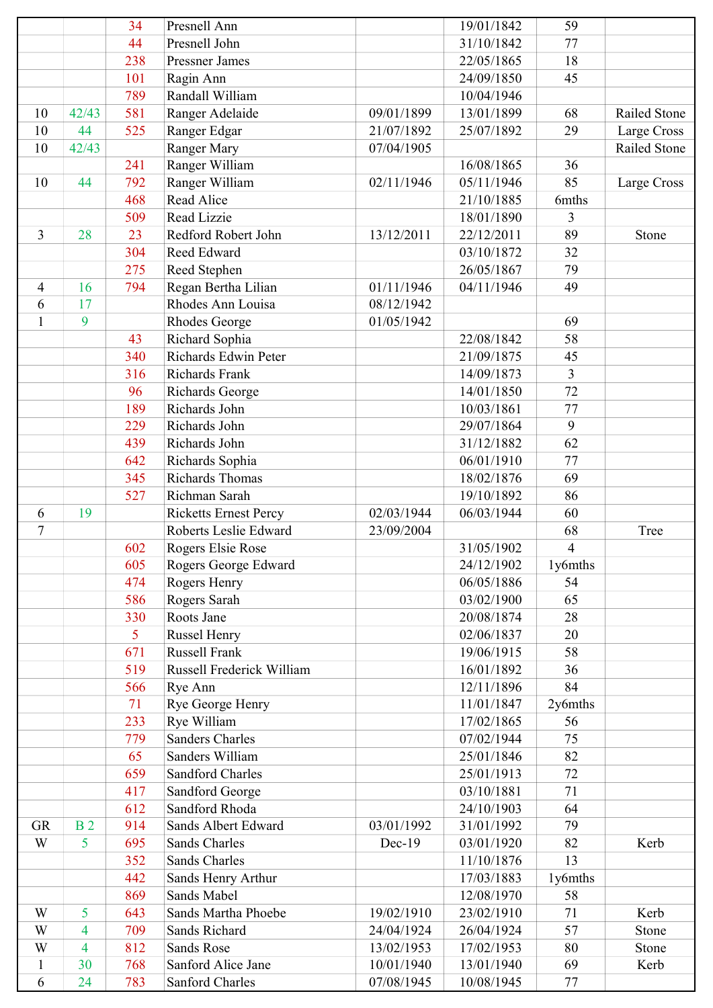|                |                | 34  | Presnell Ann                 |            | 19/01/1842 | 59             |              |
|----------------|----------------|-----|------------------------------|------------|------------|----------------|--------------|
|                |                | 44  | Presnell John                |            | 31/10/1842 | 77             |              |
|                |                | 238 | <b>Pressner James</b>        |            | 22/05/1865 | 18             |              |
|                |                | 101 | Ragin Ann                    |            | 24/09/1850 | 45             |              |
|                |                | 789 | Randall William              |            | 10/04/1946 |                |              |
| 10             | 42/43          | 581 | Ranger Adelaide              | 09/01/1899 | 13/01/1899 | 68             | Railed Stone |
| 10             | 44             | 525 | Ranger Edgar                 | 21/07/1892 | 25/07/1892 | 29             | Large Cross  |
| 10             | 42/43          |     | Ranger Mary                  | 07/04/1905 |            |                | Railed Stone |
|                |                | 241 | Ranger William               |            | 16/08/1865 | 36             |              |
| 10             | 44             | 792 | Ranger William               | 02/11/1946 | 05/11/1946 | 85             | Large Cross  |
|                |                | 468 | Read Alice                   |            | 21/10/1885 | 6mths          |              |
|                |                | 509 | Read Lizzie                  |            | 18/01/1890 | 3              |              |
| $\overline{3}$ | 28             | 23  | Redford Robert John          | 13/12/2011 | 22/12/2011 | 89             | Stone        |
|                |                | 304 | Reed Edward                  |            | 03/10/1872 | 32             |              |
|                |                | 275 | Reed Stephen                 |            | 26/05/1867 | 79             |              |
| $\overline{4}$ | 16             | 794 | Regan Bertha Lilian          | 01/11/1946 | 04/11/1946 | 49             |              |
| 6              | 17             |     | Rhodes Ann Louisa            | 08/12/1942 |            |                |              |
| $\mathbf{1}$   | 9              |     | <b>Rhodes George</b>         | 01/05/1942 |            | 69             |              |
|                |                | 43  | Richard Sophia               |            | 22/08/1842 | 58             |              |
|                |                | 340 | Richards Edwin Peter         |            | 21/09/1875 | 45             |              |
|                |                | 316 | Richards Frank               |            | 14/09/1873 | 3              |              |
|                |                | 96  | Richards George              |            | 14/01/1850 | 72             |              |
|                |                | 189 | Richards John                |            | 10/03/1861 | 77             |              |
|                |                | 229 | Richards John                |            | 29/07/1864 | 9              |              |
|                |                | 439 | Richards John                |            | 31/12/1882 | 62             |              |
|                |                | 642 | Richards Sophia              |            | 06/01/1910 | 77             |              |
|                |                | 345 | Richards Thomas              |            | 18/02/1876 | 69             |              |
|                |                | 527 | Richman Sarah                |            | 19/10/1892 | 86             |              |
| 6              | 19             |     | <b>Ricketts Ernest Percy</b> | 02/03/1944 | 06/03/1944 | 60             |              |
| $\tau$         |                |     | Roberts Leslie Edward        | 23/09/2004 |            | 68             | Tree         |
|                |                | 602 | Rogers Elsie Rose            |            | 31/05/1902 | $\overline{4}$ |              |
|                |                | 605 | Rogers George Edward         |            | 24/12/1902 | 1y6mths        |              |
|                |                | 474 | Rogers Henry                 |            | 06/05/1886 | 54             |              |
|                |                | 586 | Rogers Sarah                 |            | 03/02/1900 | 65             |              |
|                |                | 330 | Roots Jane                   |            | 20/08/1874 | 28             |              |
|                |                | 5   | <b>Russel Henry</b>          |            | 02/06/1837 | 20             |              |
|                |                | 671 | <b>Russell Frank</b>         |            | 19/06/1915 | 58             |              |
|                |                | 519 | Russell Frederick William    |            | 16/01/1892 | 36             |              |
|                |                | 566 | Rye Ann                      |            | 12/11/1896 | 84             |              |
|                |                | 71  | Rye George Henry             |            | 11/01/1847 | 2y6mths        |              |
|                |                | 233 | Rye William                  |            | 17/02/1865 | 56             |              |
|                |                | 779 | <b>Sanders Charles</b>       |            | 07/02/1944 | 75             |              |
|                |                | 65  | Sanders William              |            | 25/01/1846 | 82             |              |
|                |                | 659 | Sandford Charles             |            | 25/01/1913 | 72             |              |
|                |                | 417 | Sandford George              |            | 03/10/1881 | 71             |              |
|                |                | 612 | Sandford Rhoda               |            | 24/10/1903 | 64             |              |
| <b>GR</b>      | B <sub>2</sub> | 914 | Sands Albert Edward          | 03/01/1992 | 31/01/1992 | 79             |              |
| W              | 5              | 695 | Sands Charles                | Dec-19     | 03/01/1920 | 82             | Kerb         |
|                |                | 352 | Sands Charles                |            | 11/10/1876 | 13             |              |
|                |                | 442 | Sands Henry Arthur           |            | 17/03/1883 | 1y6mths        |              |
|                |                | 869 | Sands Mabel                  |            | 12/08/1970 | 58             |              |
| W              | 5              | 643 | Sands Martha Phoebe          | 19/02/1910 | 23/02/1910 | 71             | Kerb         |
| W              | 4              | 709 | Sands Richard                | 24/04/1924 | 26/04/1924 | 57             | Stone        |
| W              | 4              | 812 | <b>Sands Rose</b>            | 13/02/1953 | 17/02/1953 | 80             | Stone        |
| 1              | 30             | 768 | Sanford Alice Jane           | 10/01/1940 | 13/01/1940 | 69             | Kerb         |
| 6              | 24             | 783 | Sanford Charles              | 07/08/1945 | 10/08/1945 | 77             |              |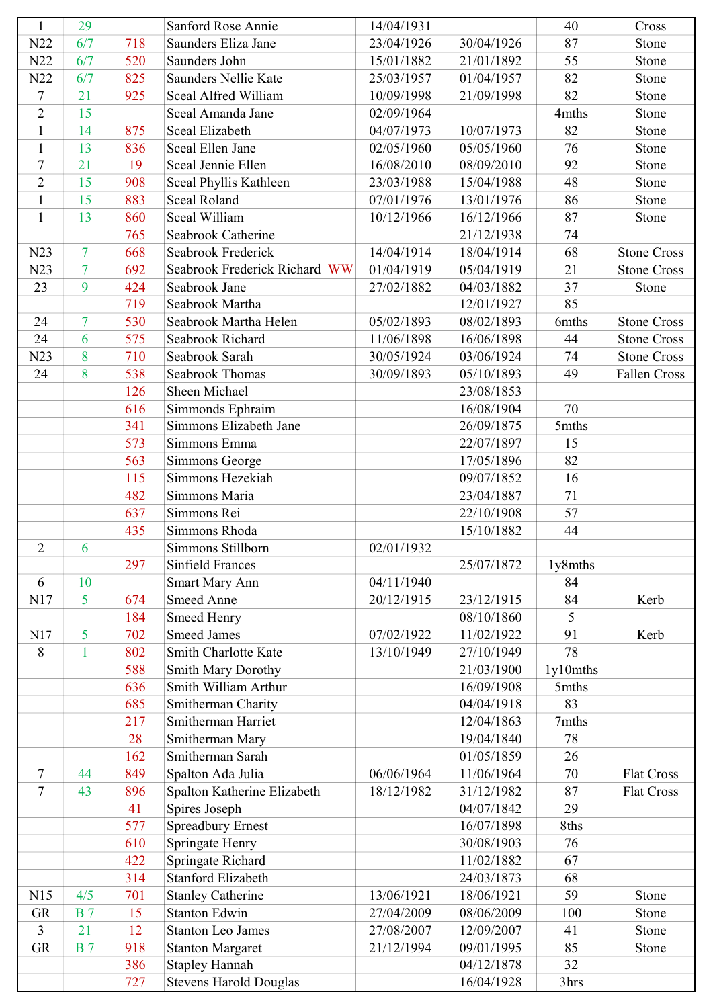| $\mathbf{1}$   | 29             |     | Sanford Rose Annie                               | 14/04/1931 |            | 40       | Cross              |
|----------------|----------------|-----|--------------------------------------------------|------------|------------|----------|--------------------|
| N22            | 6/7            | 718 | Saunders Eliza Jane                              | 23/04/1926 | 30/04/1926 | 87       | Stone              |
| N22            | 6/7            | 520 | Saunders John                                    | 15/01/1882 | 21/01/1892 | 55       | Stone              |
| N22            | 6/7            | 825 | Saunders Nellie Kate                             | 25/03/1957 | 01/04/1957 | 82       | Stone              |
| $\tau$         | 21             | 925 | Sceal Alfred William                             | 10/09/1998 | 21/09/1998 | 82       | Stone              |
| $\overline{2}$ | 15             |     | Sceal Amanda Jane                                | 02/09/1964 |            | 4mths    | Stone              |
| $\mathbf{1}$   | 14             | 875 | Sceal Elizabeth                                  | 04/07/1973 | 10/07/1973 | 82       | Stone              |
| $\mathbf{1}$   | 13             | 836 | Sceal Ellen Jane                                 | 02/05/1960 | 05/05/1960 | 76       | Stone              |
| $\tau$         | 21             | 19  | Sceal Jennie Ellen                               | 16/08/2010 | 08/09/2010 | 92       | Stone              |
| $\overline{2}$ | 15             | 908 | Sceal Phyllis Kathleen                           | 23/03/1988 | 15/04/1988 | 48       | Stone              |
| $\mathbf{1}$   | 15             | 883 | <b>Sceal Roland</b>                              | 07/01/1976 | 13/01/1976 | 86       | Stone              |
| $\mathbf{1}$   | 13             | 860 | Sceal William                                    | 10/12/1966 | 16/12/1966 | 87       | Stone              |
|                |                | 765 | Seabrook Catherine                               |            | 21/12/1938 | 74       |                    |
| N23            | $\overline{7}$ | 668 | Seabrook Frederick                               | 14/04/1914 | 18/04/1914 | 68       | <b>Stone Cross</b> |
| N23            | $\overline{7}$ | 692 | Seabrook Frederick Richard WW                    | 01/04/1919 | 05/04/1919 | 21       | <b>Stone Cross</b> |
| 23             | 9              | 424 | Seabrook Jane                                    | 27/02/1882 | 04/03/1882 | 37       | Stone              |
|                |                | 719 | Seabrook Martha                                  |            | 12/01/1927 | 85       |                    |
| 24             | $\overline{7}$ | 530 | Seabrook Martha Helen                            | 05/02/1893 | 08/02/1893 | 6mths    | <b>Stone Cross</b> |
| 24             | 6              | 575 | Seabrook Richard                                 | 11/06/1898 | 16/06/1898 | 44       | <b>Stone Cross</b> |
| N23            | 8              | 710 | Seabrook Sarah                                   | 30/05/1924 | 03/06/1924 | 74       | <b>Stone Cross</b> |
| 24             | 8              | 538 | Seabrook Thomas                                  | 30/09/1893 | 05/10/1893 | 49       | Fallen Cross       |
|                |                | 126 | Sheen Michael                                    |            | 23/08/1853 |          |                    |
|                |                | 616 | Simmonds Ephraim                                 |            | 16/08/1904 | 70       |                    |
|                |                | 341 | Simmons Elizabeth Jane                           |            | 26/09/1875 | 5mths    |                    |
|                |                | 573 | Simmons Emma                                     |            | 22/07/1897 | 15       |                    |
|                |                | 563 | Simmons George                                   |            | 17/05/1896 | 82       |                    |
|                |                | 115 | Simmons Hezekiah                                 |            | 09/07/1852 | 16       |                    |
|                |                | 482 | Simmons Maria                                    |            | 23/04/1887 | 71       |                    |
|                |                | 637 | Simmons Rei                                      |            | 22/10/1908 | 57       |                    |
|                |                | 435 | Simmons Rhoda                                    |            | 15/10/1882 | 44       |                    |
| $\overline{2}$ | 6              |     | Simmons Stillborn                                | 02/01/1932 |            |          |                    |
|                |                | 297 | <b>Sinfield Frances</b>                          |            | 25/07/1872 | 1y8mths  |                    |
| 6              | 10             |     | <b>Smart Mary Ann</b>                            | 04/11/1940 |            | 84       |                    |
| N17            | 5              | 674 | <b>Smeed Anne</b>                                | 20/12/1915 | 23/12/1915 | 84       | Kerb               |
|                |                | 184 | <b>Smeed Henry</b>                               |            | 08/10/1860 | 5        |                    |
| N17            | 5              | 702 | <b>Smeed James</b>                               | 07/02/1922 | 11/02/1922 | 91       | Kerb               |
| 8              | $\mathbf{1}$   | 802 | Smith Charlotte Kate                             | 13/10/1949 | 27/10/1949 | 78       |                    |
|                |                | 588 | Smith Mary Dorothy                               |            | 21/03/1900 | 1y10mths |                    |
|                |                | 636 | Smith William Arthur                             |            | 16/09/1908 | 5mths    |                    |
|                |                | 685 | Smitherman Charity                               |            | 04/04/1918 | 83       |                    |
|                |                | 217 | Smitherman Harriet                               |            | 12/04/1863 | 7mths    |                    |
|                |                | 28  | Smitherman Mary                                  |            | 19/04/1840 | 78       |                    |
|                |                | 162 | Smitherman Sarah                                 |            | 01/05/1859 | 26       |                    |
| 7              | 44             | 849 | Spalton Ada Julia                                | 06/06/1964 | 11/06/1964 | 70       | <b>Flat Cross</b>  |
| $\overline{7}$ | 43             | 896 | Spalton Katherine Elizabeth                      | 18/12/1982 | 31/12/1982 | 87       | <b>Flat Cross</b>  |
|                |                | 41  | Spires Joseph                                    |            | 04/07/1842 | 29       |                    |
|                |                | 577 | <b>Spreadbury Ernest</b>                         |            | 16/07/1898 | 8ths     |                    |
|                |                | 610 | Springate Henry                                  |            | 30/08/1903 | 76       |                    |
|                |                | 422 | Springate Richard                                |            | 11/02/1882 | 67       |                    |
|                |                | 314 | <b>Stanford Elizabeth</b>                        |            | 24/03/1873 | 68       |                    |
| N15            | 4/5            | 701 |                                                  | 13/06/1921 | 18/06/1921 | 59       | Stone              |
| GR             | <b>B</b> 7     | 15  | <b>Stanley Catherine</b><br><b>Stanton Edwin</b> | 27/04/2009 | 08/06/2009 | 100      | Stone              |
| 3              | 21             | 12  | <b>Stanton Leo James</b>                         | 27/08/2007 | 12/09/2007 | 41       | Stone              |
| GR             | <b>B</b> 7     | 918 |                                                  | 21/12/1994 | 09/01/1995 | 85       | Stone              |
|                |                |     | <b>Stanton Margaret</b>                          |            |            | 32       |                    |
|                |                | 386 | <b>Stapley Hannah</b>                            |            | 04/12/1878 |          |                    |
|                |                | 727 | <b>Stevens Harold Douglas</b>                    |            | 16/04/1928 | 3hrs     |                    |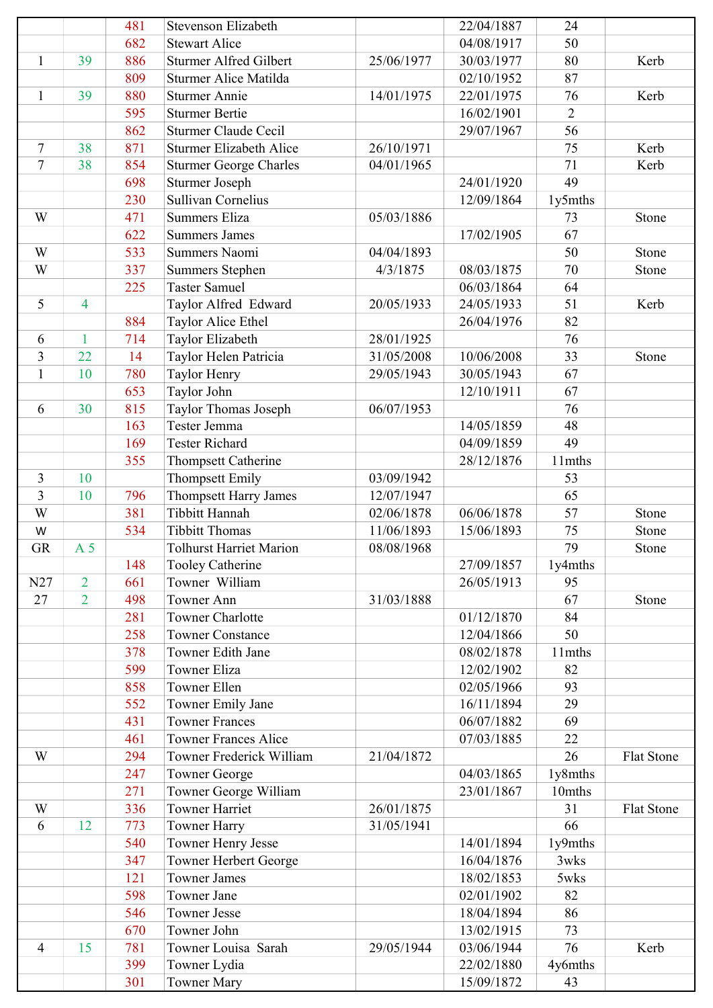|                |                          | 481 | <b>Stevenson Elizabeth</b>      |            | 22/04/1887 | 24             |                   |
|----------------|--------------------------|-----|---------------------------------|------------|------------|----------------|-------------------|
|                |                          | 682 | <b>Stewart Alice</b>            |            | 04/08/1917 | 50             |                   |
| $\mathbf{1}$   | 39                       | 886 | <b>Sturmer Alfred Gilbert</b>   | 25/06/1977 | 30/03/1977 | 80             | Kerb              |
|                |                          | 809 | <b>Sturmer Alice Matilda</b>    |            | 02/10/1952 | 87             |                   |
| $\mathbf{1}$   | 39                       | 880 | <b>Sturmer Annie</b>            | 14/01/1975 | 22/01/1975 | 76             | Kerb              |
|                |                          | 595 | <b>Sturmer Bertie</b>           |            | 16/02/1901 | $\overline{2}$ |                   |
|                |                          | 862 | <b>Sturmer Claude Cecil</b>     |            | 29/07/1967 | 56             |                   |
| $\tau$         | 38                       | 871 | <b>Sturmer Elizabeth Alice</b>  | 26/10/1971 |            | 75             | Kerb              |
| $\tau$         | 38                       | 854 | <b>Sturmer George Charles</b>   | 04/01/1965 |            | 71             | Kerb              |
|                |                          | 698 | <b>Sturmer Joseph</b>           |            | 24/01/1920 | 49             |                   |
|                |                          | 230 | Sullivan Cornelius              |            | 12/09/1864 | 1y5mths        |                   |
| W              |                          | 471 | <b>Summers Eliza</b>            | 05/03/1886 |            | 73             | Stone             |
|                |                          | 622 | <b>Summers James</b>            |            | 17/02/1905 | 67             |                   |
| W              |                          | 533 | Summers Naomi                   | 04/04/1893 |            | 50             | Stone             |
| W              |                          | 337 | <b>Summers Stephen</b>          | 4/3/1875   | 08/03/1875 | 70             | Stone             |
|                |                          | 225 | <b>Taster Samuel</b>            |            | 06/03/1864 | 64             |                   |
| 5              | $\overline{\mathcal{A}}$ |     | Taylor Alfred Edward            | 20/05/1933 | 24/05/1933 | 51             | Kerb              |
|                |                          | 884 | Taylor Alice Ethel              |            | 26/04/1976 | 82             |                   |
| 6              | $\mathbf{1}$             | 714 | Taylor Elizabeth                | 28/01/1925 |            | 76             |                   |
| 3              | 22                       | 14  | Taylor Helen Patricia           | 31/05/2008 | 10/06/2008 | 33             | Stone             |
| $\mathbf{1}$   | 10                       | 780 | Taylor Henry                    | 29/05/1943 | 30/05/1943 | 67             |                   |
|                |                          | 653 | Taylor John                     |            | 12/10/1911 | 67             |                   |
| 6              | 30                       | 815 | Taylor Thomas Joseph            | 06/07/1953 |            | 76             |                   |
|                |                          | 163 | Tester Jemma                    |            | 14/05/1859 | 48             |                   |
|                |                          | 169 | <b>Tester Richard</b>           |            | 04/09/1859 | 49             |                   |
|                |                          | 355 | <b>Thompsett Catherine</b>      |            | 28/12/1876 | 11mths         |                   |
| 3              | 10                       |     | <b>Thompsett Emily</b>          | 03/09/1942 |            | 53             |                   |
| 3              | 10                       | 796 | Thompsett Harry James           | 12/07/1947 |            | 65             |                   |
| W              |                          | 381 | Tibbitt Hannah                  | 02/06/1878 | 06/06/1878 | 57             | Stone             |
| W              |                          | 534 | <b>Tibbitt Thomas</b>           | 11/06/1893 | 15/06/1893 | 75             | Stone             |
| <b>GR</b>      | A <sub>5</sub>           |     | <b>Tolhurst Harriet Marion</b>  | 08/08/1968 |            | 79             | Stone             |
|                |                          | 148 | <b>Tooley Catherine</b>         |            | 27/09/1857 | 1y4mths        |                   |
| N27            | $\overline{2}$           | 661 | Towner William                  |            | 26/05/1913 | 95             |                   |
| 27             | $\overline{2}$           | 498 | Towner Ann                      | 31/03/1888 |            | 67             | Stone             |
|                |                          | 281 | <b>Towner Charlotte</b>         |            | 01/12/1870 | 84             |                   |
|                |                          | 258 | <b>Towner Constance</b>         |            | 12/04/1866 | 50             |                   |
|                |                          | 378 | Towner Edith Jane               |            | 08/02/1878 | 11mths         |                   |
|                |                          | 599 | Towner Eliza                    |            | 12/02/1902 | 82             |                   |
|                |                          | 858 | <b>Towner Ellen</b>             |            | 02/05/1966 | 93             |                   |
|                |                          | 552 | Towner Emily Jane               |            | 16/11/1894 | 29             |                   |
|                |                          | 431 | <b>Towner Frances</b>           |            | 06/07/1882 | 69             |                   |
|                |                          | 461 | <b>Towner Frances Alice</b>     |            | 07/03/1885 | 22             |                   |
| W              |                          | 294 | <b>Towner Frederick William</b> | 21/04/1872 |            | 26             | <b>Flat Stone</b> |
|                |                          | 247 | <b>Towner George</b>            |            | 04/03/1865 | 1y8mths        |                   |
|                |                          | 271 | Towner George William           |            | 23/01/1867 | 10mths         |                   |
| W              |                          | 336 | <b>Towner Harriet</b>           | 26/01/1875 |            | 31             | Flat Stone        |
| 6              | 12                       | 773 | Towner Harry                    | 31/05/1941 |            | 66             |                   |
|                |                          | 540 | <b>Towner Henry Jesse</b>       |            | 14/01/1894 | 1y9mths        |                   |
|                |                          | 347 | Towner Herbert George           |            | 16/04/1876 | 3wks           |                   |
|                |                          | 121 | <b>Towner James</b>             |            | 18/02/1853 | 5wks           |                   |
|                |                          | 598 | Towner Jane                     |            | 02/01/1902 | 82             |                   |
|                |                          | 546 | <b>Towner Jesse</b>             |            | 18/04/1894 | 86             |                   |
|                |                          | 670 | Towner John                     |            | 13/02/1915 | 73             |                   |
| $\overline{4}$ | 15                       | 781 | Towner Louisa Sarah             | 29/05/1944 | 03/06/1944 | 76             | Kerb              |
|                |                          | 399 | Towner Lydia                    |            | 22/02/1880 | 4y6mths        |                   |
|                |                          | 301 | <b>Towner Mary</b>              |            | 15/09/1872 | 43             |                   |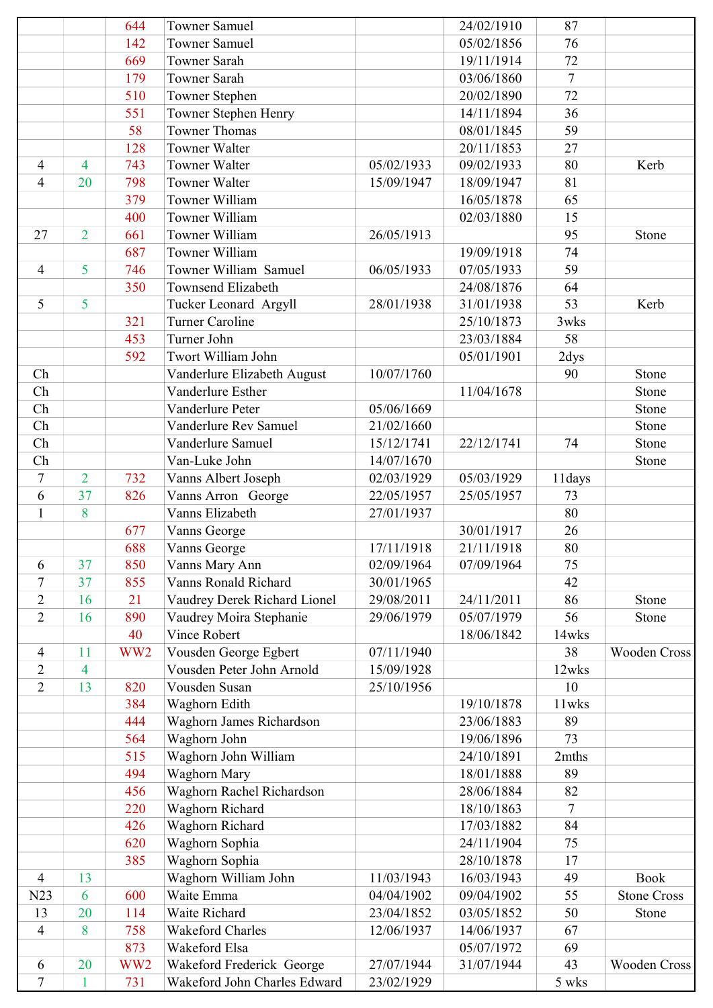|                  |                | 644                   | <b>Towner Samuel</b>                   |            | 24/02/1910 | 87             |                     |
|------------------|----------------|-----------------------|----------------------------------------|------------|------------|----------------|---------------------|
|                  |                | 142                   | <b>Towner Samuel</b>                   |            | 05/02/1856 | 76             |                     |
|                  |                | 669                   | <b>Towner Sarah</b>                    |            | 19/11/1914 | 72             |                     |
|                  |                | 179                   | Towner Sarah                           |            | 03/06/1860 | $\overline{7}$ |                     |
|                  |                | 510                   | Towner Stephen                         |            | 20/02/1890 | 72             |                     |
|                  |                | 551                   | Towner Stephen Henry                   |            | 14/11/1894 | 36             |                     |
|                  |                | 58                    | <b>Towner Thomas</b>                   |            | 08/01/1845 | 59             |                     |
|                  |                | 128                   | Towner Walter                          |            | 20/11/1853 | 27             |                     |
| 4                | 4              | 743                   | <b>Towner Walter</b>                   | 05/02/1933 | 09/02/1933 | 80             | Kerb                |
| 4                | 20             | 798                   | <b>Towner Walter</b>                   | 15/09/1947 | 18/09/1947 | 81             |                     |
|                  |                | 379                   | Towner William                         |            | 16/05/1878 | 65             |                     |
|                  |                | 400                   | Towner William                         |            | 02/03/1880 | 15             |                     |
| 27               | $\overline{2}$ | 661                   | Towner William                         | 26/05/1913 |            | 95             | Stone               |
|                  |                | 687                   | Towner William                         |            | 19/09/1918 | 74             |                     |
| $\overline{4}$   | 5              | 746                   | Towner William Samuel                  | 06/05/1933 | 07/05/1933 | 59             |                     |
|                  |                | 350                   | <b>Townsend Elizabeth</b>              |            | 24/08/1876 | 64             |                     |
| 5                | 5              |                       | Tucker Leonard Argyll                  | 28/01/1938 | 31/01/1938 | 53             | Kerb                |
|                  |                | 321                   | <b>Turner Caroline</b>                 |            | 25/10/1873 | 3wks           |                     |
|                  |                | 453                   | Turner John                            |            | 23/03/1884 | 58             |                     |
|                  |                | 592                   | Twort William John                     |            | 05/01/1901 | 2dys           |                     |
| Ch               |                |                       | Vanderlure Elizabeth August            | 10/07/1760 |            | 90             | Stone               |
| Ch               |                |                       | Vanderlure Esther                      |            | 11/04/1678 |                | Stone               |
| Ch               |                |                       | Vanderlure Peter                       | 05/06/1669 |            |                | Stone               |
| Ch               |                |                       | Vanderlure Rev Samuel                  | 21/02/1660 |            |                | Stone               |
| Ch               |                |                       | Vanderlure Samuel                      | 15/12/1741 | 22/12/1741 | 74             | Stone               |
| Ch               |                |                       | Van-Luke John                          | 14/07/1670 |            |                | Stone               |
| 7                | $\overline{2}$ | 732                   | Vanns Albert Joseph                    | 02/03/1929 | 05/03/1929 | 11days         |                     |
| 6                | 37             | 826                   | Vanns Arron George                     | 22/05/1957 | 25/05/1957 | 73             |                     |
| $\mathbf{1}$     | 8              |                       | Vanns Elizabeth                        | 27/01/1937 |            | 80             |                     |
|                  |                | 677                   | Vanns George                           |            | 30/01/1917 | 26             |                     |
|                  |                | 688                   | Vanns George                           | 17/11/1918 | 21/11/1918 | 80             |                     |
|                  | 37             | 850                   |                                        | 02/09/1964 | 07/09/1964 | 75             |                     |
| 6<br>$\tau$      | 37             | 855                   | Vanns Mary Ann<br>Vanns Ronald Richard | 30/01/1965 |            | 42             |                     |
|                  | 16             | 21                    |                                        | 29/08/2011 | 24/11/2011 | 86             |                     |
| $\overline{2}$   |                |                       | Vaudrey Derek Richard Lionel           |            | 05/07/1979 |                | Stone               |
| $\overline{2}$   | 16             | 890                   | Vaudrey Moira Stephanie                | 29/06/1979 |            | 56             | Stone               |
|                  |                | 40<br>WW <sub>2</sub> | Vince Robert                           |            | 18/06/1842 | 14wks          |                     |
| 4                | 11             |                       | Vousden George Egbert                  | 07/11/1940 |            | 38             | <b>Wooden Cross</b> |
| $\overline{2}$   | 4              |                       | Vousden Peter John Arnold              | 15/09/1928 |            | 12wks          |                     |
| $\overline{2}$   | 13             | 820                   | Vousden Susan                          | 25/10/1956 |            | 10             |                     |
|                  |                | 384                   | Waghorn Edith                          |            | 19/10/1878 | 11wks          |                     |
|                  |                | 444                   | Waghorn James Richardson               |            | 23/06/1883 | 89             |                     |
|                  |                | 564                   | Waghorn John                           |            | 19/06/1896 | 73             |                     |
|                  |                | 515                   | Waghorn John William                   |            | 24/10/1891 | 2mths          |                     |
|                  |                | 494                   | Waghorn Mary                           |            | 18/01/1888 | 89             |                     |
|                  |                | 456                   | Waghorn Rachel Richardson              |            | 28/06/1884 | 82             |                     |
|                  |                | 220                   | Waghorn Richard                        |            | 18/10/1863 | $\tau$         |                     |
|                  |                | 426                   | Waghorn Richard                        |            | 17/03/1882 | 84             |                     |
|                  |                | 620                   | Waghorn Sophia                         |            | 24/11/1904 | 75             |                     |
|                  |                | 385                   | Waghorn Sophia                         |            | 28/10/1878 | 17             |                     |
| 4                | 13             |                       | Waghorn William John                   | 11/03/1943 | 16/03/1943 | 49             | <b>Book</b>         |
| N23              | 6              | 600                   | Waite Emma                             | 04/04/1902 | 09/04/1902 | 55             | <b>Stone Cross</b>  |
| 13               | 20             | 114                   | Waite Richard                          | 23/04/1852 | 03/05/1852 | 50             | Stone               |
| $\overline{4}$   | 8              | 758                   | <b>Wakeford Charles</b>                | 12/06/1937 | 14/06/1937 | 67             |                     |
|                  |                | 873                   | Wakeford Elsa                          |            | 05/07/1972 | 69             |                     |
| 6                | 20             | WW <sub>2</sub>       | Wakeford Frederick George              | 27/07/1944 | 31/07/1944 | 43             | Wooden Cross        |
| $\boldsymbol{7}$ |                | 731                   | Wakeford John Charles Edward           | 23/02/1929 |            | 5 wks          |                     |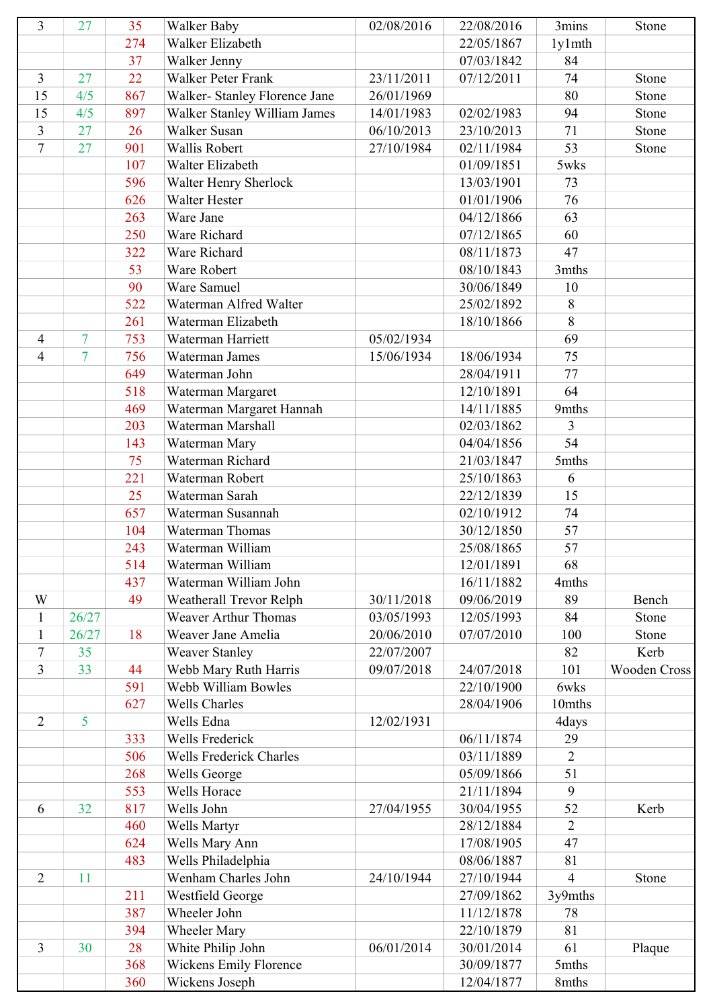| 3                | 27             | 35  | Walker Baby                    | 02/08/2016 | 22/08/2016 | 3mins          | Stone               |
|------------------|----------------|-----|--------------------------------|------------|------------|----------------|---------------------|
|                  |                | 274 | Walker Elizabeth               |            | 22/05/1867 | 1y1mth         |                     |
|                  |                | 37  | Walker Jenny                   |            | 07/03/1842 | 84             |                     |
| 3                | 27             | 22  | Walker Peter Frank             | 23/11/2011 | 07/12/2011 | 74             | Stone               |
| 15               | 4/5            | 867 | Walker- Stanley Florence Jane  | 26/01/1969 |            | 80             | Stone               |
| 15               | 4/5            | 897 | Walker Stanley William James   | 14/01/1983 | 02/02/1983 | 94             | Stone               |
| $\mathfrak{Z}$   | 27             | 26  | Walker Susan                   | 06/10/2013 | 23/10/2013 | 71             | Stone               |
| $\boldsymbol{7}$ | 27             | 901 | Wallis Robert                  | 27/10/1984 | 02/11/1984 | 53             | Stone               |
|                  |                | 107 | Walter Elizabeth               |            | 01/09/1851 | 5wks           |                     |
|                  |                | 596 | Walter Henry Sherlock          |            | 13/03/1901 | 73             |                     |
|                  |                | 626 | Walter Hester                  |            | 01/01/1906 | 76             |                     |
|                  |                | 263 | Ware Jane                      |            | 04/12/1866 | 63             |                     |
|                  |                | 250 | Ware Richard                   |            | 07/12/1865 | 60             |                     |
|                  |                | 322 | Ware Richard                   |            | 08/11/1873 | 47             |                     |
|                  |                | 53  | Ware Robert                    |            | 08/10/1843 | 3mths          |                     |
|                  |                | 90  | Ware Samuel                    |            | 30/06/1849 | 10             |                     |
|                  |                | 522 | Waterman Alfred Walter         |            | 25/02/1892 | 8              |                     |
|                  |                | 261 | Waterman Elizabeth             |            | 18/10/1866 | 8              |                     |
| 4                | $\overline{7}$ | 753 | Waterman Harriett              | 05/02/1934 |            | 69             |                     |
| $\overline{4}$   | 7              | 756 | Waterman James                 | 15/06/1934 | 18/06/1934 | 75             |                     |
|                  |                | 649 | Waterman John                  |            | 28/04/1911 | 77             |                     |
|                  |                | 518 | Waterman Margaret              |            | 12/10/1891 | 64             |                     |
|                  |                | 469 | Waterman Margaret Hannah       |            | 14/11/1885 | 9mths          |                     |
|                  |                | 203 | Waterman Marshall              |            | 02/03/1862 | 3              |                     |
|                  |                | 143 | Waterman Mary                  |            | 04/04/1856 | 54             |                     |
|                  |                | 75  | Waterman Richard               |            | 21/03/1847 | 5mths          |                     |
|                  |                | 221 | Waterman Robert                |            | 25/10/1863 | 6              |                     |
|                  |                | 25  | Waterman Sarah                 |            | 22/12/1839 | 15             |                     |
|                  |                | 657 | Waterman Susannah              |            | 02/10/1912 | 74             |                     |
|                  |                | 104 | Waterman Thomas                |            | 30/12/1850 | 57             |                     |
|                  |                | 243 | Waterman William               |            | 25/08/1865 | 57             |                     |
|                  |                | 514 | Waterman William               |            | 12/01/1891 | 68             |                     |
|                  |                | 437 | Waterman William John          |            | 16/11/1882 | 4mths          |                     |
| W                |                | 49  | Weatherall Trevor Relph        | 30/11/2018 | 09/06/2019 | 89             | Bench               |
| $\mathbf{1}$     | 26/27          |     | <b>Weaver Arthur Thomas</b>    | 03/05/1993 | 12/05/1993 | 84             | Stone               |
| $\mathbf{1}$     | 26/27          | 18  | Weaver Jane Amelia             | 20/06/2010 | 07/07/2010 | 100            | Stone               |
| $\tau$           | 35             |     | <b>Weaver Stanley</b>          | 22/07/2007 |            | 82             | Kerb                |
| $\overline{3}$   | 33             | 44  | Webb Mary Ruth Harris          | 09/07/2018 | 24/07/2018 | 101            | <b>Wooden Cross</b> |
|                  |                | 591 | Webb William Bowles            |            | 22/10/1900 | 6wks           |                     |
|                  |                | 627 | <b>Wells Charles</b>           |            | 28/04/1906 | 10mths         |                     |
| $\overline{2}$   | 5              |     | Wells Edna                     | 12/02/1931 |            | 4days          |                     |
|                  |                | 333 | Wells Frederick                |            | 06/11/1874 | 29             |                     |
|                  |                | 506 | <b>Wells Frederick Charles</b> |            | 03/11/1889 | $\overline{2}$ |                     |
|                  |                | 268 | Wells George                   |            | 05/09/1866 | 51             |                     |
|                  |                | 553 | Wells Horace                   |            | 21/11/1894 | 9              |                     |
| 6                | 32             | 817 | Wells John                     | 27/04/1955 | 30/04/1955 | 52             | Kerb                |
|                  |                | 460 | Wells Martyr                   |            | 28/12/1884 | $\overline{2}$ |                     |
|                  |                | 624 | Wells Mary Ann                 |            | 17/08/1905 | 47             |                     |
|                  |                | 483 | Wells Philadelphia             |            | 08/06/1887 | 81             |                     |
| $\overline{2}$   | 11             |     | Wenham Charles John            | 24/10/1944 | 27/10/1944 | $\overline{4}$ | Stone               |
|                  |                | 211 | Westfield George               |            | 27/09/1862 | 3y9mths        |                     |
|                  |                | 387 | Wheeler John                   |            | 11/12/1878 | 78             |                     |
|                  |                | 394 | <b>Wheeler Mary</b>            |            | 22/10/1879 | 81             |                     |
| 3                | 30             | 28  | White Philip John              | 06/01/2014 | 30/01/2014 | 61             | Plaque              |
|                  |                | 368 | <b>Wickens Emily Florence</b>  |            | 30/09/1877 | 5mths          |                     |
|                  |                | 360 | Wickens Joseph                 |            | 12/04/1877 | 8mths          |                     |